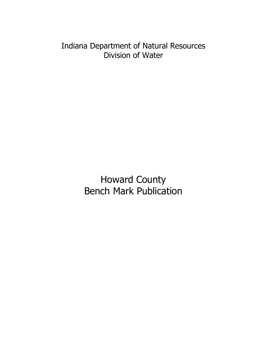Indiana Department of Natural Resources Division of Water

> Howard County Bench Mark Publication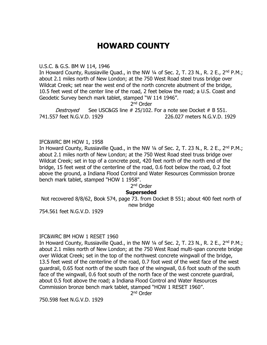# **HOWARD COUNTY**

#### U.S.C. & G.S. BM W 114, 1946

In Howard County, Russiaville Quad., in the NW 1/4 of Sec. 2, T. 23 N., R. 2 E., 2<sup>nd</sup> P.M.; about 2.1 miles north of New London; at the 750 West Road steel truss bridge over Wildcat Creek; set near the west end of the north concrete abutment of the bridge, 10.5 feet west of the center line of the road, 2 feet below the road; a U.S. Coast and Geodetic Survey bench mark tablet, stamped "W 114 1946".

2<sup>nd</sup> Order

Destroyed See USC&GS line # 25/102. For a note see Docket # B 551. 741.557 feet N.G.V.D. 1929 226.027 meters N.G.V.D. 1929

# IFC&WRC BM HOW 1, 1958

In Howard County, Russiaville Quad., in the NW  $\frac{1}{4}$  of Sec. 2, T. 23 N., R. 2 E., 2<sup>nd</sup> P.M.; about 2.1 miles north of New London; at the 750 West Road steel truss bridge over Wildcat Creek; set in top of a concrete post, 420 feet north of the north end of the bridge, 15 feet west of the centerline of the road, 0.6 foot below the road, 0.2 foot above the ground, a Indiana Flood Control and Water Resources Commission bronze bench mark tablet, stamped "HOW 1 1958".

# 2<sup>nd</sup> Order

# **Superseded**

Not recovered 8/8/62, Book 574, page 73. from Docket B 551; about 400 feet north of new bridge

754.561 feet N.G.V.D. 1929

# IFC&WRC BM HOW 1 RESET 1960

In Howard County, Russiaville Quad., in the NW  $\frac{1}{4}$  of Sec. 2, T. 23 N., R. 2 E., 2<sup>nd</sup> P.M.; about 2.1 miles north of New London; at the 750 West Road multi-span concrete bridge over Wildcat Creek; set in the top of the northwest concrete wingwall of the bridge, 13.5 feet west of the centerline of the road, 0.7 foot west of the west face of the west guardrail, 0.65 foot north of the south face of the wingwall, 0.6 foot south of the south face of the wingwall, 0.6 foot south of the north face of the west concrete guardrail, about 0.5 foot above the road; a Indiana Flood Control and Water Resources Commission bronze bench mark tablet, stamped "HOW 1 RESET 1960".

2<sup>nd</sup> Order

750.598 feet N.G.V.D. 1929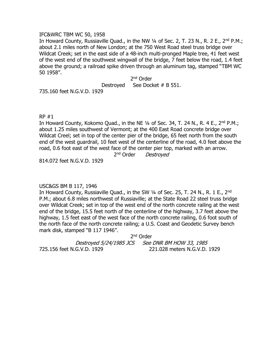#### IFC&WRC TBM WC 50, 1958

In Howard County, Russiaville Quad., in the NW 1/4 of Sec. 2, T. 23 N., R. 2 E., 2<sup>nd</sup> P.M.; about 2.1 miles north of New London; at the 750 West Road steel truss bridge over Wildcat Creek; set in the east side of a 48-inch multi-pronged Maple tree, 41 feet west of the west end of the southwest wingwall of the bridge, 7 feet below the road, 1.4 feet above the ground; a railroad spike driven through an aluminum tag, stamped "TBM WC 50 1958".

> 2<sup>nd</sup> Order Destroyed See Docket # B 551.

735.160 feet N.G.V.D. 1929

RP #1

In Howard County, Kokomo Quad., in the NE  $\frac{1}{4}$  of Sec. 34, T. 24 N., R. 4 E., 2<sup>nd</sup> P.M.; about 1.25 miles southwest of Vermont; at the 400 East Road concrete bridge over Wildcat Creel; set in top of the center pier of the bridge, 65 feet north from the south end of the west guardrail, 10 feet west of the centerline of the road, 4.0 feet above the road, 0.6 foot east of the west face of the center pier top, marked with an arrow.

2<sup>nd</sup> Order Destroyed

814.072 feet N.G.V.D. 1929

# USC&GS BM B 117, 1946

In Howard County, Russiaville Quad., in the SW 1/4 of Sec. 25, T. 24 N., R. 1 E., 2<sup>nd</sup> P.M.; about 6.8 miles northwest of Russiaville; at the State Road 22 steel truss bridge over Wildcat Creek; set in top of the west end of the north concrete railing at the west end of the bridge, 15.5 feet north of the centerline of the highway, 3.7 feet above the highway, 1.5 feet east of the west face of the north concrete railing, 0.6 foot south of the north face of the north concrete railing; a U.S. Coast and Geodetic Survey bench mark disk, stamped "B 117 1946".

2<sup>nd</sup> Order Destroyed 5/24/1985 JCS See DNR BM HOW 33, 1985 725.156 feet N.G.V.D. 1929 221.028 meters N.G.V.D. 1929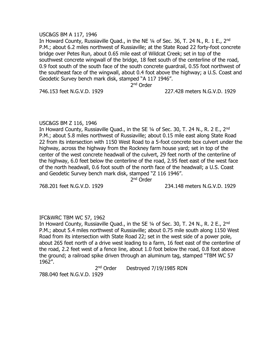#### USC&GS BM A 117, 1946

In Howard County, Russiaville Quad., in the NE  $\frac{1}{4}$  of Sec. 36, T. 24 N., R. 1 E., 2<sup>nd</sup> P.M.; about 6.2 miles northwest of Russiaville; at the State Road 22 forty-foot concrete bridge over Petes Run, about 0.65 mile east of Wildcat Creek; set in top of the southwest concrete wingwall of the bridge, 18 feet south of the centerline of the road, 0.9 foot south of the south face of the south concrete guardrail, 0.55 foot northwest of the southeast face of the wingwall, about 0.4 foot above the highway; a U.S. Coast and Geodetic Survey bench mark disk, stamped "A 117 1946".

2<sup>nd</sup> Order

#### 746.153 feet N.G.V.D. 1929 227.428 meters N.G.V.D. 1929

# USC&GS BM Z 116, 1946

In Howard County, Russiaville Quad., in the SE 1/4 of Sec. 30, T. 24 N., R. 2 E., 2<sup>nd</sup> P.M.; about 5.8 miles northwest of Russiaville; about 0.15 mile east along State Road 22 from its intersection with 1150 West Road to a 5-foot concrete box culvert under the highway, across the highway from the Rockney farm house yard; set in top of the center of the west concrete headwall of the culvert, 29 feet north of the centerline of the highway, 6.0 feet below the centerline of the road, 2.95 feet east of the west face of the north headwall, 0.6 foot south of the north face of the headwall; a U.S. Coast and Geodetic Survey bench mark disk, stamped "Z 116 1946".

2<sup>nd</sup> Order

768.201 feet N.G.V.D. 1929 234.148 meters N.G.V.D. 1929

# IFC&WRC TBM WC 57, 1962

In Howard County, Russiaville Quad., in the SE 1/4 of Sec. 30, T. 24 N., R. 2 E., 2<sup>nd</sup> P.M.; about 5.4 miles northwest of Russiaville; about 0.75 mile south along 1150 West Road from its intersection with State Road 22; set in the west side of a power pole, about 265 feet north of a drive west leading to a farm, 16 feet east of the centerline of the road, 2.2 feet west of a fence line, about 1.0 foot below the road, 0.8 foot above the ground; a railroad spike driven through an aluminum tag, stamped "TBM WC 57 1962".

> 2<sup>nd</sup> Order Destroyed 7/19/1985 RDN

788.040 feet N.G.V.D. 1929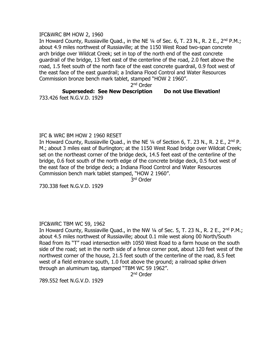#### IFC&WRC BM HOW 2, 1960

In Howard County, Russiaville Ouad., in the NE 1/4 of Sec. 6, T. 23 N., R. 2 E., 2<sup>nd</sup> P.M.; about 4.9 miles northwest of Russiaville; at the 1150 West Road two-span concrete arch bridge over Wildcat Creek; set in top of the north end of the east concrete guardrail of the bridge, 13 feet east of the centerline of the road, 2.0 feet above the road, 1.5 feet south of the north face of the east concrete guardrail, 0.9 foot west of the east face of the east guardrail; a Indiana Flood Control and Water Resources Commission bronze bench mark tablet, stamped "HOW 2 1960".

2<sup>nd</sup> Order

#### **Superseded: See New Description Do not Use Elevation!** 733.426 feet N.G.V.D. 1929

IFC & WRC BM HOW 2 1960 RESET

In Howard County, Russiaville Quad., in the NE 1/4 of Section 6, T. 23 N., R. 2 E., 2<sup>nd</sup> P. M.; about 3 miles east of Burlington; at the 1150 West Road bridge over Wildcat Creek; set on the northeast corner of the bridge deck, 14.5 feet east of the centerline of the bridge, 0.6 foot south of the north edge of the concrete bridge deck, 0.5 foot west of the east face of the bridge deck; a Indiana Flood Control and Water Resources Commission bench mark tablet stamped, "HOW 2 1960".

3 rd Order

730.338 feet N.G.V.D. 1929

# IFC&WRC TBM WC 59, 1962

In Howard County, Russiaville Quad., in the NW 1/4 of Sec. 5, T. 23 N., R. 2 E., 2<sup>nd</sup> P.M.; about 4.5 miles northwest of Russiaville; about 0.1 mile west along 00 North/South Road from its "T" road intersection with 1050 West Road to a farm house on the south side of the road; set in the north side of a fence corner post, about 120 feet west of the northwest corner of the house, 21.5 feet south of the centerline of the road, 8.5 feet west of a field entrance south, 1.0 foot above the ground; a railroad spike driven through an aluminum tag, stamped "TBM WC 59 1962".

2<sup>nd</sup> Order

789.552 feet N.G.V.D. 1929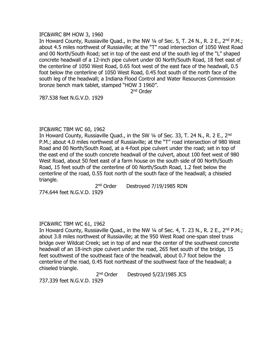#### IFC&WRC BM HOW 3, 1960

In Howard County, Russiaville Quad., in the NW 1/4 of Sec. 5, T. 24 N., R. 2 E., 2<sup>nd</sup> P.M.; about 4.5 miles northwest of Russiaville; at the "T" road intersection of 1050 West Road and 00 North/South Road; set in top of the east end of the south leg of the "L" shaped concrete headwall of a 12-inch pipe culvert under 00 North/South Road, 18 feet east of the centerline of 1050 West Road, 0.65 foot west of the east face of the headwall, 0.5 foot below the centerline of 1050 West Road, 0.45 foot south of the north face of the south leg of the headwall; a Indiana Flood Control and Water Resources Commission bronze bench mark tablet, stamped "HOW 3 1960".

2<sup>nd</sup> Order

787.538 feet N.G.V.D. 1929

# IFC&WRC TBM WC 60, 1962

In Howard County, Russiaville Quad., in the SW 1/4 of Sec. 33, T. 24 N., R. 2 E., 2<sup>nd</sup> P.M.; about 4.0 miles northwest of Russiaville; at the "T" road intersection of 980 West Road and 00 North/South Road, at a 4-foot pipe culvert under the road; set in top of the east end of the south concrete headwall of the culvert, about 100 feet west of 980 West Road, about 50 feet east of a farm house on the south side of 00 North/South Road, 15 feet south of the centerline of 00 North/South Road, 1.2 feet below the centerline of the road, 0.55 foot north of the south face of the headwall; a chiseled triangle.

> $2<sup>nd</sup> Order$ Destroyed 7/19/1985 RDN

774.644 feet N.G.V.D. 1929

# IFC&WRC TBM WC 61, 1962

In Howard County, Russiaville Quad., in the NW 1/4 of Sec. 4, T. 23 N., R. 2 E., 2<sup>nd</sup> P.M.; about 3.8 miles northwest of Russiaville; at the 950 West Road one-span steel truss bridge over Wildcat Creek; set in top of and near the center of the southwest concrete headwall of an 18-inch pipe culvert under the road, 265 feet south of the bridge, 15 feet southwest of the southeast face of the headwall, about 0.7 foot below the centerline of the road, 0.45 foot northeast of the southwest face of the headwall; a chiseled triangle.

> $2<sup>nd</sup> Order$ Destroyed 5/23/1985 JCS

737.339 feet N.G.V.D. 1929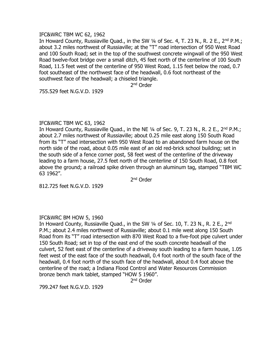#### IFC&WRC TBM WC 62, 1962

In Howard County, Russiaville Quad., in the SW 1/4 of Sec. 4, T. 23 N., R. 2 E., 2<sup>nd</sup> P.M.; about 3.2 miles northwest of Russiaville; at the "T" road intersection of 950 West Road and 100 South Road; set in the top of the southwest concrete wingwall of the 950 West Road twelve-foot bridge over a small ditch, 45 feet north of the centerline of 100 South Road, 11.5 feet west of the centerline of 950 West Road, 1.15 feet below the road, 0.7 foot southeast of the northwest face of the headwall, 0.6 foot northeast of the southwest face of the headwall; a chiseled triangle.

2<sup>nd</sup> Order

755.529 feet N.G.V.D. 1929

# IFC&WRC TBM WC 63, 1962

In Howard County, Russiaville Quad., in the NE 1/4 of Sec. 9, T. 23 N., R. 2 E., 2<sup>nd</sup> P.M.; about 2.7 miles northwest of Russiaville; about 0.25 mile east along 150 South Road from its "T" road intersection with 950 West Road to an abandoned farm house on the north side of the road, about 0.05 mile east of an old red-brick school building; set in the south side of a fence corner post, 58 feet west of the centerline of the driveway leading to a farm house, 27.5 feet north of the centerline of 150 South Road, 0.8 foot above the ground; a railroad spike driven through an aluminum tag, stamped "TBM WC 63 1962".

2<sup>nd</sup> Order

812.725 feet N.G.V.D. 1929

# IFC&WRC BM HOW 5, 1960

In Howard County, Russiaville Quad., in the SW 1/4 of Sec. 10, T. 23 N., R. 2 E., 2<sup>nd</sup> P.M.; about 2.4 miles northwest of Russiaville; about 0.1 mile west along 150 South Road from its "T" road intersection with 870 West Road to a five-foot pipe culvert under 150 South Road; set in top of the east end of the south concrete headwall of the culvert, 52 feet east of the centerline of a driveway south leading to a farm house, 1.05 feet west of the east face of the south headwall, 0.4 foot north of the south face of the headwall, 0.4 foot north of the south face of the headwall, about 0.4 foot above the centerline of the road; a Indiana Flood Control and Water Resources Commission bronze bench mark tablet, stamped "HOW 5 1960".

2<sup>nd</sup> Order

799.247 feet N.G.V.D. 1929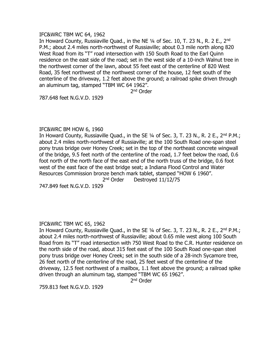#### IFC&WRC TBM WC 64, 1962

In Howard County, Russiaville Ouad., in the NE 1/4 of Sec. 10, T. 23 N., R. 2 E., 2<sup>nd</sup> P.M.; about 2.4 miles north-northwest of Russiaville; about 0.3 mile north along 820 West Road from its "T" road intersection with 150 South Road to the Earl Quinn residence on the east side of the road; set in the west side of a 10-inch Walnut tree in the northwest corner of the lawn, about 55 feet east of the centerline of 820 West Road, 35 feet northwest of the northwest corner of the house, 12 feet south of the centerline of the driveway, 1.2 feet above the ground; a railroad spike driven through an aluminum tag, stamped "TBM WC 64 1962".

2<sup>nd</sup> Order

787.648 feet N.G.V.D. 1929

#### IFC&WRC BM HOW 6, 1960

In Howard County, Russiaville Quad., in the SE  $\frac{1}{4}$  of Sec. 3, T. 23 N., R. 2 E., 2<sup>nd</sup> P.M.; about 2.4 miles north-northwest of Russiaville; at the 100 South Road one-span steel pony truss bridge over Honey Creek; set in the top of the northeast concrete wingwall of the bridge, 9.5 feet north of the centerline of the road, 1.7 feet below the road, 0.6 foot north of the north face of the east end of the north truss of the bridge, 0.6 foot west of the east face of the east bridge seat; a Indiana Flood Control and Water Resources Commission bronze bench mark tablet, stamped "HOW 6 1960".

2<sup>nd</sup> Order Destroyed 11/12/75

747.849 feet N.G.V.D. 1929

# IFC&WRC TBM WC 65, 1962

In Howard County, Russiaville Quad., in the SE 1/4 of Sec. 3, T. 23 N., R. 2 E., 2<sup>nd</sup> P.M.; about 2.4 miles north-northwest of Russiaville; about 0.65 mile west along 100 South Road from its "T" road intersection with 750 West Road to the C.R. Hunter residence on the north side of the road, about 315 feet east of the 100 South Road one-span steel pony truss bridge over Honey Creek; set in the south side of a 28-inch Sycamore tree, 26 feet north of the centerline of the road, 25 feet west of the centerline of the driveway, 12.5 feet northwest of a mailbox, 1.1 feet above the ground; a railroad spike driven through an aluminum tag, stamped "TBM WC 65 1962".

2<sup>nd</sup> Order

759.813 feet N.G.V.D. 1929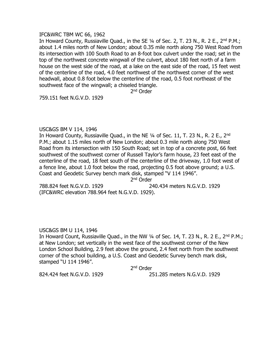#### IFC&WRC TBM WC 66, 1962

In Howard County, Russiaville Quad., in the SE 1/4 of Sec. 2, T. 23 N., R. 2 E., 2<sup>nd</sup> P.M.; about 1.4 miles north of New London; about 0.35 mile north along 750 West Road from its intersection with 100 South Road to an 8-foot box culvert under the road; set in the top of the northwest concrete wingwall of the culvert, about 180 feet north of a farm house on the west side of the road, at a lake on the east side of the road, 15 feet west of the centerline of the road, 4.0 feet northwest of the northwest corner of the west headwall, about 0.8 foot below the centerline of the road, 0.5 foot northeast of the southwest face of the wingwall; a chiseled triangle.

2<sup>nd</sup> Order

759.151 feet N.G.V.D. 1929

#### USC&GS BM V 114, 1946

In Howard County, Russiaville Quad., in the NE 1/4 of Sec. 11, T. 23 N., R. 2 E., 2<sup>nd</sup> P.M.; about 1.15 miles north of New London; about 0.3 mile north along 750 West Road from its intersection with 150 South Road; set in top of a concrete post, 66 feet southwest of the southwest corner of Russell Taylor's farm house, 23 feet east of the centerline of the road, 18 feet south of the centerline of the driveway, 1.0 foot west of a fence line, about 1.0 foot below the road, projecting 0.5 foot above ground; a U.S. Coast and Geodetic Survey bench mark disk, stamped "V 114 1946".

2<sup>nd</sup> Order

788.824 feet N.G.V.D. 1929 240.434 meters N.G.V.D. 1929 (IFC&WRC elevation 788.964 feet N.G.V.D. 1929).

# USC&GS BM U 114, 1946

In Howard Count, Russiaville Quad., in the NW  $\frac{1}{4}$  of Sec. 14, T. 23 N., R. 2 E., 2<sup>nd</sup> P.M.; at New London; set vertically in the west face of the southwest corner of the New London School Building, 2.9 feet above the ground, 2.4 feet north from the southwest corner of the school building, a U.S. Coast and Geodetic Survey bench mark disk, stamped "U 114 1946".

2<sup>nd</sup> Order

824.424 feet N.G.V.D. 1929 251.285 meters N.G.V.D. 1929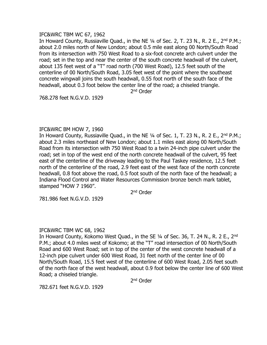# IFC&WRC TBM WC 67, 1962

In Howard County, Russiaville Quad., in the NE 1/4 of Sec. 2, T. 23 N., R. 2 E., 2<sup>nd</sup> P.M.; about 2.0 miles north of New London; about 0.5 mile east along 00 North/South Road from its intersection with 750 West Road to a six-foot concrete arch culvert under the road; set in the top and near the center of the south concrete headwall of the culvert, about 135 feet west of a "T" road north (700 West Road), 12.5 feet south of the centerline of 00 North/South Road, 3.05 feet west of the point where the southeast concrete wingwall joins the south headwall, 0.55 foot north of the south face of the headwall, about 0.3 foot below the center line of the road; a chiseled triangle.

2<sup>nd</sup> Order

768.278 feet N.G.V.D. 1929

# IFC&WRC BM HOW 7, 1960

In Howard County, Russiaville Quad., in the NE 1/4 of Sec. 1, T. 23 N., R. 2 E., 2<sup>nd</sup> P.M.; about 2.3 miles northeast of New London; about 1.1 miles east along 00 North/South Road from its intersection with 750 West Road to a twin 24-inch pipe culvert under the road; set in top of the west end of the north concrete headwall of the culvert, 95 feet east of the centerline of the driveway leading to the Paul Taskey residence, 12.5 feet north of the centerline of the road, 2.9 feet east of the west face of the north concrete headwall, 0.8 foot above the road, 0.5 foot south of the north face of the headwall; a Indiana Flood Control and Water Resources Commission bronze bench mark tablet, stamped "HOW 7 1960".

2<sup>nd</sup> Order

781.986 feet N.G.V.D. 1929

# IFC&WRC TBM WC 68, 1962

In Howard County, Kokomo West Quad., in the SE 1/4 of Sec. 36, T. 24 N., R. 2 E., 2<sup>nd</sup> P.M.; about 4.0 miles west of Kokomo; at the "T" road intersection of 00 North/South Road and 600 West Road; set in top of the center of the west concrete headwall of a 12-inch pipe culvert under 600 West Road, 31 feet north of the center line of 00 North/South Road, 15.5 feet west of the centerline of 600 West Road, 2.05 feet south of the north face of the west headwall, about 0.9 foot below the center line of 600 West Road; a chiseled triangle.

2<sup>nd</sup> Order

782.671 feet N.G.V.D. 1929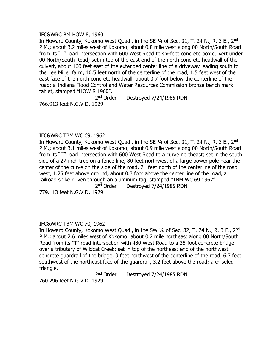## IFC&WRC BM HOW 8, 1960

In Howard County, Kokomo West Ouad., in the SE 1/4 of Sec. 31, T. 24 N., R. 3 E., 2<sup>nd</sup> P.M.; about 3.2 miles west of Kokomo; about 0.8 mile west along 00 North/South Road from its "T" road intersection with 600 West Road to six-foot concrete box culvert under 00 North/South Road; set in top of the east end of the north concrete headwall of the culvert, about 160 feet east of the extended center line of a driveway leading south to the Lee Miller farm, 10.5 feet north of the centerline of the road, 1.5 feet west of the east face of the north concrete headwall, about 0.7 foot below the centerline of the road; a Indiana Flood Control and Water Resources Commission bronze bench mark tablet, stamped "HOW 8 1960".

> $2<sup>nd</sup> Order$ Destroyed 7/24/1985 RDN

766.913 feet N.G.V.D. 1929

IFC&WRC TBM WC 69, 1962

In Howard County, Kokomo West Quad., in the SE 1/4 of Sec. 31, T. 24 N., R. 3 E., 2<sup>nd</sup> P.M.; about 3.1 miles west of Kokomo; about 0.9 mile west along 00 North/South Road from its "T" road intersection with 600 West Road to a curve northeast; set in the south side of a 27-inch tree on a fence line, 80 feet northwest of a large power pole near the center of the curve on the side of the road, 21 feet north of the centerline of the road west, 1.25 feet above ground, about 0.7 foot above the center line of the road, a railroad spike driven through an aluminum tag, stamped "TBM WC 69 1962".

 $2<sup>nd</sup> Order$ Destroyed 7/24/1985 RDN

779.113 feet N.G.V.D. 1929

# IFC&WRC TBM WC 70, 1962

In Howard County, Kokomo West Quad., in the SW 1/4 of Sec. 32, T. 24 N., R. 3 E., 2<sup>nd</sup> P.M.; about 2.6 miles west of Kokomo; about 0.2 mile northeast along 00 North/South Road from its "T" road intersection with 480 West Road to a 35-foot concrete bridge over a tributary of Wildcat Creek; set in top of the northeast end of the northwest concrete guardrail of the bridge, 9 feet northwest of the centerline of the road, 6.7 feet southwest of the northeast face of the guardrail, 3.2 feet above the road; a chiseled triangle.

> $2<sup>nd</sup> Order$ Destroyed 7/24/1985 RDN

760.296 feet N.G.V.D. 1929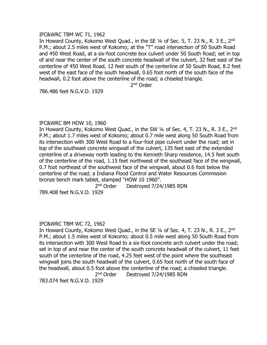#### IFC&WRC TBM WC 71, 1962

In Howard County, Kokomo West Quad., in the SE 1/4 of Sec. 5, T. 23 N., R. 3 E., 2<sup>nd</sup> P.M.; about 2.5 miles west of Kokomo; at the "T" road intersection of 50 South Road and 450 West Road, at a six-foot concrete box culvert under 50 South Road; set in top of and near the center of the south concrete headwall of the culvert, 32 feet east of the centerline of 450 West Road, 12 feet south of the centerline of 50 South Road, 8.2 feet west of the east face of the south headwall, 0.65 foot north of the south face of the headwall, 0.2 foot above the centerline of the road; a chiseled triangle.

2<sup>nd</sup> Order

786.486 feet N.G.V.D. 1929

#### IFC&WRC BM HOW 10, 1960

In Howard County, Kokomo West Quad., in the SW 1/4 of Sec. 4, T. 23 N., R. 3 E., 2<sup>nd</sup> P.M.; about 1.7 miles west of Kokomo; about 0.7 mile west along 50 South Road from its intersection with 300 West Road to a four-foot pipe culvert under the road; set in top of the southeast concrete wingwall of the culvert, 135 feet east of the extended centerline of a driveway north leading to the Kenneth Sharp residence, 14.5 feet south of the centerline of the road, 1.15 feet northwest of the southeast face of the wingwall, 0.7 foot northeast of the southwest face of the wingwall, about 0.6 foot below the centerline of the road; a Indiana Flood Control and Water Resources Commission bronze bench mark tablet, stamped "HOW 10 1960".

> $2<sup>nd</sup> Order$ Destroyed 7/24/1985 RDN

789.408 feet N.G.V.D. 1929

# IFC&WRC TBM WC 72, 1962

In Howard County, Kokomo West Quad., in the SE 1/4 of Sec. 4, T. 23 N., R. 3 E., 2<sup>nd</sup> P.M.; about 1.5 miles west of Kokomo; about 0.5 mile west along 50 South Road from its intersection with 300 West Road to a six-foot concrete arch culvert under the road; set in top of and near the center of the south concrete headwall of the culvert, 11 feet south of the centerline of the road, 4.25 feet west of the point where the southeast wingwall joins the south headwall of the culvert, 0.65 foot north of the south face of the headwall, about 0.5 foot above the centerline of the road; a chiseled triangle. 2<sup>nd</sup> Order Destroyed 7/24/1985 RDN

783.074 feet N.G.V.D. 1929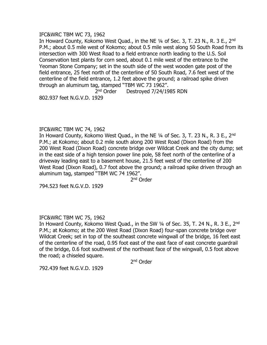#### IFC&WRC TBM WC 73, 1962

In Howard County, Kokomo West Quad., in the NE 1/4 of Sec. 3, T. 23 N., R. 3 E., 2<sup>nd</sup> P.M.; about 0.5 mile west of Kokomo; about 0.5 mile west along 50 South Road from its intersection with 300 West Road to a field entrance north leading to the U.S. Soil Conservation test plants for corn seed, about 0.1 mile west of the entrance to the Yeoman Stone Company; set in the south side of the west wooden gate post of the field entrance, 25 feet north of the centerline of 50 South Road, 7.6 feet west of the centerline of the field entrance, 1.2 feet above the ground; a railroad spike driven through an aluminum tag, stamped "TBM WC 73 1962".

> 2<sup>nd</sup> Order Destroyed 7/24/1985 RDN

802.937 feet N.G.V.D. 1929

# IFC&WRC TBM WC 74, 1962

In Howard County, Kokomo West Quad., in the NE 1/4 of Sec. 3, T. 23 N., R. 3 E., 2<sup>nd</sup> P.M.; at Kokomo; about 0.2 mile south along 200 West Road (Dixon Road) from the 200 West Road (Dixon Road) concrete bridge over Wildcat Creek and the city dump; set in the east side of a high tension power line pole, 58 feet north of the centerline of a driveway leading east to a basement house, 21.5 feet west of the centerline of 200 West Road (Dixon Road), 0.7 foot above the ground; a railroad spike driven through an aluminum tag, stamped "TBM WC 74 1962".

2<sup>nd</sup> Order

794.523 feet N.G.V.D. 1929

# IFC&WRC TBM WC 75, 1962

In Howard County, Kokomo West Quad., in the SW 1/4 of Sec. 35, T. 24 N., R. 3 E., 2<sup>nd</sup> P.M.; at Kokomo; at the 200 West Road (Dixon Road) four-span concrete bridge over Wildcat Creek; set in top of the southeast concrete wingwall of the bridge, 16 feet east of the centerline of the road, 0.95 foot east of the east face of east concrete guardrail of the bridge, 0.6 foot southwest of the northeast face of the wingwall, 0.5 foot above the road; a chiseled square.

2<sup>nd</sup> Order

792.439 feet N.G.V.D. 1929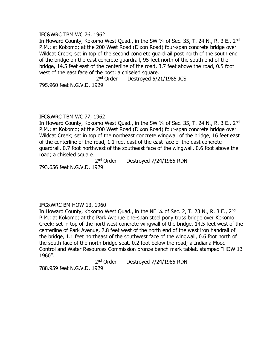#### IFC&WRC TBM WC 76, 1962

In Howard County, Kokomo West Quad., in the SW 1/4 of Sec. 35, T. 24 N., R. 3 E., 2<sup>nd</sup> P.M.; at Kokomo; at the 200 West Road (Dixon Road) four-span concrete bridge over Wildcat Creek; set in top of the second concrete guardrail post north of the south end of the bridge on the east concrete guardrail, 95 feet north of the south end of the bridge, 14.5 feet east of the centerline of the road, 3.7 feet above the road, 0.5 foot west of the east face of the post; a chiseled square.

> 2<sup>nd</sup> Order Destroyed 5/21/1985 JCS

795.960 feet N.G.V.D. 1929

# IFC&WRC TBM WC 77, 1962

In Howard County, Kokomo West Quad., in the SW 1/4 of Sec. 35, T. 24 N., R. 3 E., 2<sup>nd</sup> P.M.; at Kokomo; at the 200 West Road (Dixon Road) four-span concrete bridge over Wildcat Creek; set in top of the northeast concrete wingwall of the bridge, 16 feet east of the centerline of the road, 1.1 feet east of the east face of the east concrete guardrail, 0.7 foot northwest of the southeast face of the wingwall, 0.6 foot above the road; a chiseled square.

2<sup>nd</sup> Order Destroyed 7/24/1985 RDN

793.656 feet N.G.V.D. 1929

# IFC&WRC BM HOW 13, 1960

In Howard County, Kokomo West Quad., in the NE 1/4 of Sec. 2, T. 23 N., R. 3 E., 2<sup>nd</sup> P.M.; at Kokomo; at the Park Avenue one-span steel pony truss bridge over Kokomo Creek; set in top of the northwest concrete wingwall of the bridge, 14.5 feet west of the centerline of Park Avenue, 2.8 feet west of the north end of the west iron handrail of the bridge, 1.1 feet northeast of the southwest face of the wingwall, 0.6 foot north of the south face of the north bridge seat, 0.2 foot below the road; a Indiana Flood Control and Water Resources Commission bronze bench mark tablet, stamped "HOW 13 1960".

 $2<sup>nd</sup> Order$ Destroyed 7/24/1985 RDN

788.959 feet N.G.V.D. 1929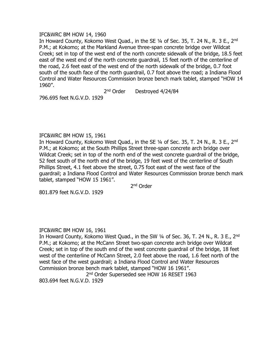#### IFC&WRC BM HOW 14, 1960

In Howard County, Kokomo West Quad., in the SE 1/4 of Sec. 35, T. 24 N., R. 3 E., 2<sup>nd</sup> P.M.; at Kokomo; at the Markland Avenue three-span concrete bridge over Wildcat Creek; set in top of the west end of the north concrete sidewalk of the bridge, 18.5 feet east of the west end of the north concrete guardrail, 15 feet north of the centerline of the road, 2.6 feet east of the west end of the north sidewalk of the bridge, 0.7 foot south of the south face of the north guardrail, 0.7 foot above the road; a Indiana Flood Control and Water Resources Commission bronze bench mark tablet, stamped "HOW 14 1960".

> 2<sup>nd</sup> Order Destroyed 4/24/84

796.695 feet N.G.V.D. 1929

# IFC&WRC BM HOW 15, 1961

In Howard County, Kokomo West Quad., in the SE 1/4 of Sec. 35, T. 24 N., R. 3 E., 2<sup>nd</sup> P.M.; at Kokomo; at the South Phillips Street three-span concrete arch bridge over Wildcat Creek; set in top of the north end of the west concrete guardrail of the bridge, 52 feet south of the north end of the bridge, 19 feet west of the centerline of South Phillips Street, 4.1 feet above the street, 0.75 foot east of the west face of the guardrail; a Indiana Flood Control and Water Resources Commission bronze bench mark tablet, stamped "HOW 15 1961".

2<sup>nd</sup> Order

801.879 feet N.G.V.D. 1929

# IFC&WRC BM HOW 16, 1961

In Howard County, Kokomo West Quad., in the SW 1/4 of Sec. 36, T. 24 N., R. 3 E., 2<sup>nd</sup> P.M.; at Kokomo; at the McCann Street two-span concrete arch bridge over Wildcat Creek; set in top of the south end of the west concrete guardrail of the bridge, 18 feet west of the centerline of McCann Street, 2.0 feet above the road, 1.6 feet north of the west face of the west guardrail; a Indiana Flood Control and Water Resources Commission bronze bench mark tablet, stamped "HOW 16 1961".

2<sup>nd</sup> Order Superseded see HOW 16 RESET 1963 803.694 feet N.G.V.D. 1929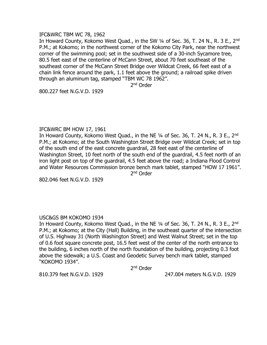#### IFC&WRC TBM WC 78, 1962

In Howard County, Kokomo West Ouad., in the SW 1/4 of Sec. 36, T. 24 N., R. 3 E., 2<sup>nd</sup> P.M.; at Kokomo; in the northwest corner of the Kokomo City Park, near the northwest corner of the swimming pool; set in the southwest side of a 30-inch Sycamore tree, 80.5 feet east of the centerline of McCann Street, about 70 feet southeast of the southeast corner of the McCann Street Bridge over Wildcat Creek, 66 feet east of a chain link fence around the park, 1.1 feet above the ground; a railroad spike driven through an aluminum tag, stamped "TBM WC 78 1962".

2<sup>nd</sup> Order

800.227 feet N.G.V.D. 1929

# IFC&WRC BM HOW 17, 1961

In Howard County, Kokomo West Quad., in the NE 1/4 of Sec. 36, T. 24 N., R. 3 E., 2<sup>nd</sup> P.M.; at Kokomo; at the South Washington Street Bridge over Wildcat Creek; set in top of the south end of the east concrete guardrail, 28 feet east of the centerline of Washington Street, 10 feet north of the south end of the guardrail, 4.5 feet north of an iron light post on top of the guardrail, 4.5 feet above the road; a Indiana Flood Control and Water Resources Commission bronze bench mark tablet, stamped "HOW 17 1961". 2<sup>nd</sup> Order

802.046 feet N.G.V.D. 1929

# USC&GS BM KOKOMO 1934

In Howard County, Kokomo West Quad., in the NE 1/4 of Sec. 36, T. 24 N., R. 3 E., 2<sup>nd</sup> P.M.; at Kokomo; at the City (Hall) Building, in the southeast quarter of the intersection of U.S. Highway 31 (North Washington Street) and West Walnut Street; set in the top of 0.6 foot square concrete post, 16.5 feet west of the center of the north entrance to the building, 6 inches north of the north foundation of the building, projecting 0.3 foot above the sidewalk; a U.S. Coast and Geodetic Survey bench mark tablet, stamped "KOKOMO 1934".

2<sup>nd</sup> Order

810.379 feet N.G.V.D. 1929 247.004 meters N.G.V.D. 1929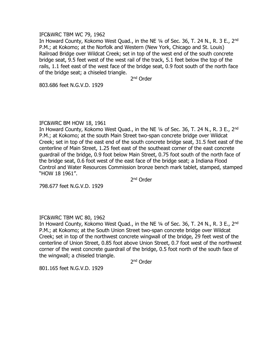#### IFC&WRC TBM WC 79, 1962

In Howard County, Kokomo West Quad., in the NE 1/4 of Sec. 36, T. 24 N., R. 3 E., 2<sup>nd</sup> P.M.; at Kokomo; at the Norfolk and Western (New York, Chicago and St. Louis) Railroad Bridge over Wildcat Creek; set in top of the west end of the south concrete bridge seat, 9.5 feet west of the west rail of the track, 5.1 feet below the top of the rails, 1.1 feet east of the west face of the bridge seat, 0.9 foot south of the north face of the bridge seat; a chiseled triangle.

2<sup>nd</sup> Order

803.686 feet N.G.V.D. 1929

#### IFC&WRC BM HOW 18, 1961

In Howard County, Kokomo West Quad., in the NE 1/4 of Sec. 36, T. 24 N., R. 3 E., 2<sup>nd</sup> P.M.; at Kokomo; at the south Main Street two-span concrete bridge over Wildcat Creek; set in top of the east end of the south concrete bridge seat, 31.5 feet east of the centerline of Main Street, 1.25 feet east of the southeast corner of the east concrete guardrail of the bridge, 0.9 foot below Main Street, 0.75 foot south of the north face of the bridge seat, 0.6 foot west of the east face of the bridge seat; a Indiana Flood Control and Water Resources Commission bronze bench mark tablet, stamped, stamped "HOW 18 1961".

2<sup>nd</sup> Order

798.677 feet N.G.V.D. 1929

# IFC&WRC TBM WC 80, 1962

In Howard County, Kokomo West Quad., in the NE 1/4 of Sec. 36, T. 24 N., R. 3 E., 2<sup>nd</sup> P.M.; at Kokomo; at the South Union Street two-span concrete bridge over Wildcat Creek; set in top of the northwest concrete wingwall of the bridge, 29 feet west of the centerline of Union Street, 0.85 foot above Union Street, 0.7 foot west of the northwest corner of the west concrete guardrail of the bridge, 0.5 foot north of the south face of the wingwall; a chiseled triangle.

2<sup>nd</sup> Order

801.165 feet N.G.V.D. 1929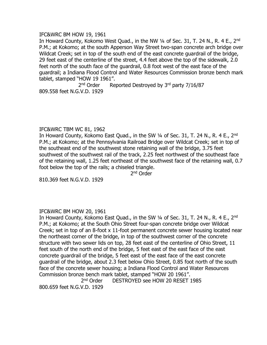#### IFC&WRC BM HOW 19, 1961

In Howard County, Kokomo West Quad., in the NW 1/4 of Sec. 31, T. 24 N., R. 4 E., 2<sup>nd</sup> P.M.; at Kokomo; at the south Apperson Way Street two-span concrete arch bridge over Wildcat Creek; set in top of the south end of the east concrete guardrail of the bridge, 29 feet east of the centerline of the street, 4.4 feet above the top of the sidewalk, 2.0 feet north of the south face of the guardrail, 0.8 foot west of the east face of the guardrail; a Indiana Flood Control and Water Resources Commission bronze bench mark tablet, stamped "HOW 19 1961".

2<sup>nd</sup> Order Reported Destroyed by  $3<sup>rd</sup>$  party 7/16/87 809.558 feet N.G.V.D. 1929

# IFC&WRC TBM WC 81, 1962

In Howard County, Kokomo East Quad., in the SW 1/4 of Sec. 31, T. 24 N., R. 4 E., 2<sup>nd</sup> P.M.; at Kokomo; at the Pennsylvania Railroad Bridge over Wildcat Creek; set in top of the southeast end of the southwest stone retaining wall of the bridge, 3.75 feet southwest of the southwest rail of the track, 2.25 feet northwest of the southeast face of the retaining wall, 1.25 feet northeast of the southwest face of the retaining wall, 0.7 foot below the top of the rails; a chiseled triangle.

2<sup>nd</sup> Order

810.369 feet N.G.V.D. 1929

# IFC&WRC BM HOW 20, 1961

In Howard County, Kokomo East Quad., in the SW 1/4 of Sec. 31, T. 24 N., R. 4 E., 2<sup>nd</sup> P.M.; at Kokomo; at the South Ohio Street four-span concrete bridge over Wildcat Creek; set in top of an 8-foot x 11-foot permanent concrete sewer housing located near the northeast corner of the bridge, in top of the southwest corner of the concrete structure with two sewer lids on top, 28 feet east of the centerline of Ohio Street, 11 feet south of the north end of the bridge, 5 feet east of the east face of the east concrete guardrail of the bridge, 5 feet east of the east face of the east concrete guardrail of the bridge, about 2.3 feet below Ohio Street, 0.85 foot north of the south face of the concrete sewer housing; a Indiana Flood Control and Water Resources Commission bronze bench mark tablet, stamped "HOW 20 1961".

2<sup>nd</sup> Order DESTROYED see HOW 20 RESET 1985 800.659 feet N.G.V.D. 1929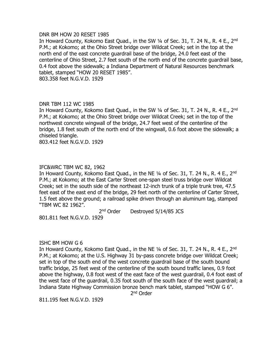#### DNR BM HOW 20 RESET 1985

In Howard County, Kokomo East Quad., in the SW 1/4 of Sec. 31, T. 24 N., R. 4 E., 2<sup>nd</sup> P.M.; at Kokomo; at the Ohio Street bridge over Wildcat Creek; set in the top at the north end of the east concrete guardrail base of the bridge, 24.0 feet east of the centerline of Ohio Street, 2.7 feet south of the north end of the concrete guardrail base, 0.4 foot above the sidewalk; a Indiana Department of Natural Resources benchmark tablet, stamped "HOW 20 RESET 1985".

803.358 feet N.G.V.D. 1929

# DNR TBM 112 WC 1985

In Howard County, Kokomo East Quad., in the SW 1/4 of Sec. 31, T. 24 N., R. 4 E., 2<sup>nd</sup> P.M.; at Kokomo; at the Ohio Street bridge over Wildcat Creek; set in the top of the northwest concrete wingwall of the bridge, 24.7 feet west of the centerline of the bridge, 1.8 feet south of the north end of the wingwall, 0.6 foot above the sidewalk; a chiseled triangle.

803.412 feet N.G.V.D. 1929

# IFC&WRC TBM WC 82, 1962

In Howard County, Kokomo East Quad., in the NE 1/4 of Sec. 31, T. 24 N., R. 4 E., 2<sup>nd</sup> P.M.; at Kokomo; at the East Carter Street one-span steel truss bridge over Wildcat Creek; set in the south side of the northeast 12-inch trunk of a triple trunk tree, 47.5 feet east of the east end of the bridge, 29 feet north of the centerline of Carter Street, 1.5 feet above the ground; a railroad spike driven through an aluminum tag, stamped "TBM WC 82 1962".

2<sup>nd</sup> Order Destroyed 5/14/85 JCS

801.811 feet N.G.V.D. 1929

# ISHC BM HOW G 6

In Howard County, Kokomo East Quad., in the NE 1/4 of Sec. 31, T. 24 N., R. 4 E., 2<sup>nd</sup> P.M.; at Kokomo; at the U.S. Highway 31 by-pass concrete bridge over Wildcat Creek; set in top of the south end of the west concrete guardrail base of the south bound traffic bridge, 25 feet west of the centerline of the south bound traffic lanes, 0.9 foot above the highway, 0.8 foot west of the east face of the west guardrail, 0.4 foot east of the west face of the guardrail, 0.35 foot south of the south face of the west guardrail; a Indiana State Highway Commission bronze bench mark tablet, stamped "HOW G 6".

2<sup>nd</sup> Order

811.195 feet N.G.V.D. 1929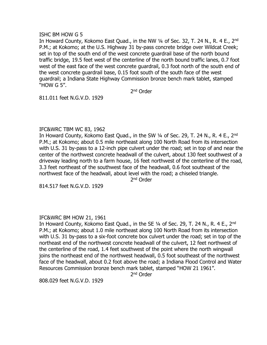#### ISHC BM HOW G 5

In Howard County, Kokomo East Quad., in the NW 1/4 of Sec. 32, T. 24 N., R. 4 E., 2<sup>nd</sup> P.M.; at Kokomo; at the U.S. Highway 31 by-pass concrete bridge over Wildcat Creek; set in top of the south end of the west concrete guardrail base of the north bound traffic bridge, 19.5 feet west of the centerline of the north bound traffic lanes, 0.7 foot west of the east face of the west concrete guardrail, 0.3 foot north of the south end of the west concrete guardrail base, 0.15 foot south of the south face of the west guardrail; a Indiana State Highway Commission bronze bench mark tablet, stamped "HOW G 5".

2<sup>nd</sup> Order

811.011 feet N.G.V.D. 1929

# IFC&WRC TBM WC 83, 1962

In Howard County, Kokomo East Quad., in the SW 1/4 of Sec. 29, T. 24 N., R. 4 E., 2<sup>nd</sup> P.M.; at Kokomo; about 0.5 mile northeast along 100 North Road from its intersection with U.S. 31 by-pass to a 12-inch pipe culvert under the road; set in top of and near the center of the northwest concrete headwall of the culvert, about 130 feet southwest of a driveway leading north to a farm house, 16 feet northwest of the centerline of the road, 3.3 feet northeast of the southwest face of the headwall, 0.6 foot southeast of the northwest face of the headwall, about level with the road; a chiseled triangle.

2<sup>nd</sup> Order

814.517 feet N.G.V.D. 1929

# IFC&WRC BM HOW 21, 1961

In Howard County, Kokomo East Quad., in the SE 1/4 of Sec. 29, T. 24 N., R. 4 E., 2<sup>nd</sup> P.M.; at Kokomo; about 1.0 mile northeast along 100 North Road from its intersection with U.S. 31 by-pass to a six-foot concrete box culvert under the road; set in top of the northeast end of the northwest concrete headwall of the culvert, 12 feet northwest of the centerline of the road, 1.4 feet southwest of the point where the north wingwall joins the northeast end of the northwest headwall, 0.5 foot southeast of the northwest face of the headwall, about 0.2 foot above the road; a Indiana Flood Control and Water Resources Commission bronze bench mark tablet, stamped "HOW 21 1961".

2<sup>nd</sup> Order

808.029 feet N.G.V.D. 1929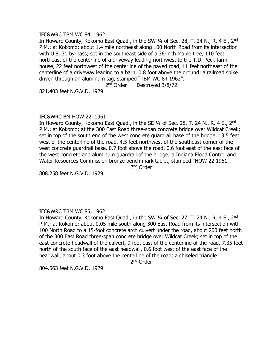# IFC&WRC TBM WC 84, 1962

In Howard County, Kokomo East Quad., in the SW 1/4 of Sec. 28, T. 24 N., R. 4 E., 2<sup>nd</sup> P.M.; at Kokomo; about 1.4 mile northeast along 100 North Road from its intersection with U.S. 31 by-pass; set in the southeast side of a 36-inch Maple tree, 110 feet northeast of the centerline of a driveway leading northwest to the T.D. Peck farm house, 22 feet northwest of the centerline of the paved road, 11 feet northeast of the centerline of a driveway leading to a barn, 0.8 foot above the ground; a railroad spike driven through an aluminum tag, stamped "TBM WC 84 1962".

2<sup>nd</sup> Order Destroyed 3/8/72

821.403 feet N.G.V.D. 1929

#### IFC&WRC BM HOW 22, 1961

In Howard County, Kokomo East Quad., in the SE 1/4 of Sec. 28, T. 24 N., R. 4 E., 2<sup>nd</sup> P.M.; at Kokomo; at the 300 East Road three-span concrete bridge over Wildcat Creek; set in top of the south end of the west concrete guardrail base of the bridge, 13.5 feet west of the centerline of the road, 4.5 feet northwest of the southeast corner of the west concrete guardrail base, 0.7 foot above the road, 0.6 foot east of the east face of the west concrete and aluminum guardrail of the bridge; a Indiana Flood Control and Water Resources Commission bronze bench mark tablet, stamped "HOW 22 1961".

2<sup>nd</sup> Order

808.258 feet N.G.V.D. 1929

# IFC&WRC TBM WC 85, 1962

In Howard County, Kokomo East Quad., in the SW 1/4 of Sec. 27, T. 24 N., R. 4 E., 2<sup>nd</sup> P.M.; at Kokomo; about 0.05 mile south along 300 East Road from its intersection with 100 North Road to a 15-foot concrete arch culvert under the road, about 200 feet north of the 300 East Road three-span concrete bridge over Wildcat Creek; set in top of the east concrete headwall of the culvert, 9 feet east of the centerline of the road, 7.35 feet north of the south face of the east headwall, 0.6 foot west of the east face of the headwall, about 0.3 foot above the centerline of the road; a chiseled triangle.

2<sup>nd</sup> Order

804.563 feet N.G.V.D. 1929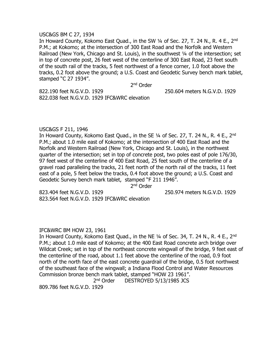#### USC&GS BM C 27, 1934

In Howard County, Kokomo East Quad., in the SW 1/4 of Sec. 27, T. 24 N., R. 4 E., 2<sup>nd</sup> P.M.; at Kokomo; at the intersection of 300 East Road and the Norfolk and Western Railroad (New York, Chicago and St. Louis), in the southwest 1/4 of the intersection; set in top of concrete post, 26 feet west of the centerline of 300 East Road, 23 feet south of the south rail of the tracks, 5 feet northwest of a fence corner, 1.0 foot above the tracks, 0.2 foot above the ground; a U.S. Coast and Geodetic Survey bench mark tablet, stamped "C 27 1934".

2<sup>nd</sup> Order

822.190 feet N.G.V.D. 1929 250.604 meters N.G.V.D. 1929 822.038 feet N.G.V.D. 1929 IFC&WRC elevation

#### USC&GS F 211, 1946

In Howard County, Kokomo East Quad., in the SE 1/4 of Sec. 27, T. 24 N., R. 4 E., 2<sup>nd</sup> P.M.; about 1.0 mile east of Kokomo; at the intersection of 400 East Road and the Norfolk and Western Railroad (New York, Chicago and St. Louis), in the northwest quarter of the intersection; set in top of concrete post, two poles east of pole 176/30, 97 feet west of the centerline of 400 East Road, 25 feet south of the centerline of a gravel road paralleling the tracks, 21 feet north of the north rail of the tracks, 11 feet east of a pole, 5 feet below the tracks, 0.4 foot above the ground; a U.S. Coast and Geodetic Survey bench mark tablet, stamped "F 211 1946".

2<sup>nd</sup> Order

823.404 feet N.G.V.D. 1929 250.974 meters N.G.V.D. 1929 823.564 feet N.G.V.D. 1929 IFC&WRC elevation

#### IFC&WRC BM HOW 23, 1961

In Howard County, Kokomo East Quad., in the NE 1/4 of Sec. 34, T. 24 N., R. 4 E., 2<sup>nd</sup> P.M.; about 1.0 mile east of Kokomo; at the 400 East Road concrete arch bridge over Wildcat Creek; set in top of the northeast concrete wingwall of the bridge, 9 feet east of the centerline of the road, about 1.1 feet above the centerline of the road, 0.9 foot north of the north face of the east concrete guardrail of the bridge, 0.5 foot northwest of the southeast face of the wingwall; a Indiana Flood Control and Water Resources Commission bronze bench mark tablet, stamped "HOW 23 1961".

> 2<sup>nd</sup> Order DESTROYED 5/13/1985 JCS

809.786 feet N.G.V.D. 1929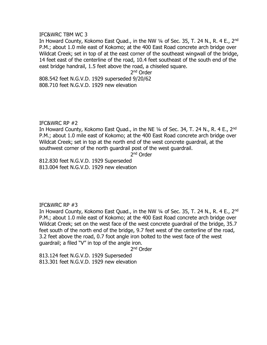#### IFC&WRC TBM WC 3

In Howard County, Kokomo East Quad., in the NW 1/4 of Sec. 35, T. 24 N., R. 4 E., 2<sup>nd</sup> P.M.; about 1.0 mile east of Kokomo; at the 400 East Road concrete arch bridge over Wildcat Creek; set in top of at the east corner of the southeast wingwall of the bridge, 14 feet east of the centerline of the road, 10.4 feet southeast of the south end of the east bridge handrail, 1.5 feet above the road, a chiseled square.

2<sup>nd</sup> Order

808.542 feet N.G.V.D. 1929 superseded 9/20/62 808.710 feet N.G.V.D. 1929 new elevation

# IFC&WRC RP #2

In Howard County, Kokomo East Quad., in the NE 1/4 of Sec. 34, T. 24 N., R. 4 E., 2<sup>nd</sup> P.M.; about 1.0 mile east of Kokomo; at the 400 East Road concrete arch bridge over Wildcat Creek; set in top at the north end of the west concrete guardrail, at the southwest corner of the north guardrail post of the west guardrail.

2<sup>nd</sup> Order

812.830 feet N.G.V.D. 1929 Superseded 813.004 feet N.G.V.D. 1929 new elevation

IFC&WRC RP #3

In Howard County, Kokomo East Quad., in the NW 1/4 of Sec. 35, T. 24 N., R. 4 E., 2<sup>nd</sup> P.M.; about 1.0 mile east of Kokomo; at the 400 East Road concrete arch bridge over Wildcat Creek; set on the west face of the west concrete guardrail of the bridge, 35.7 feet south of the north end of the bridge, 9.7 feet west of the centerline of the road, 3.2 feet above the road, 0.7 foot angle iron bolted to the west face of the west guardrail; a filed "V" in top of the angle iron.

2<sup>nd</sup> Order

813.124 feet N.G.V.D. 1929 Superseded 813.301 feet N.G.V.D. 1929 new elevation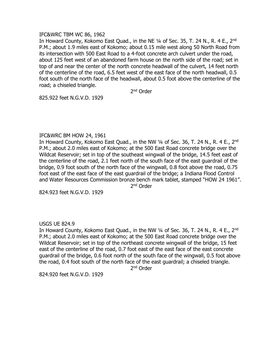## IFC&WRC TBM WC 86, 1962

In Howard County, Kokomo East Quad., in the NE 1/4 of Sec. 35, T. 24 N., R. 4 E., 2<sup>nd</sup> P.M.; about 1.9 miles east of Kokomo; about 0.15 mile west along 50 North Road from its intersection with 500 East Road to a 4-foot concrete arch culvert under the road, about 125 feet west of an abandoned farm house on the north side of the road; set in top of and near the center of the north concrete headwall of the culvert, 14 feet north of the centerline of the road, 6.5 feet west of the east face of the north headwall, 0.5 foot south of the north face of the headwall, about 0.5 foot above the centerline of the road; a chiseled triangle.

2<sup>nd</sup> Order

825.922 feet N.G.V.D. 1929

# IFC&WRC BM HOW 24, 1961

In Howard County, Kokomo East Quad., in the NW 1/4 of Sec. 36, T. 24 N., R. 4 E., 2<sup>nd</sup> P.M.; about 2.0 miles east of Kokomo; at the 500 East Road concrete bridge over the Wildcat Reservoir; set in top of the southeast wingwall of the bridge, 14.5 feet east of the centerline of the road, 2.1 feet north of the south face of the east guardrail of the bridge, 0.9 foot south of the north face of the wingwall, 0.8 foot above the road, 0.75 foot east of the east face of the east guardrail of the bridge; a Indiana Flood Control and Water Resources Commission bronze bench mark tablet, stamped "HOW 24 1961".

2<sup>nd</sup> Order

824.923 feet N.G.V.D. 1929

# USGS UE 824.9

In Howard County, Kokomo East Ouad., in the NW 1/4 of Sec. 36, T. 24 N., R. 4 E., 2<sup>nd</sup> P.M.; about 2.0 miles east of Kokomo; at the 500 East Road concrete bridge over the Wildcat Reservoir; set in top of the northeast concrete wingwall of the bridge, 15 feet east of the centerline of the road, 0.7 foot east of the east face of the east concrete guardrail of the bridge, 0.6 foot north of the south face of the wingwall, 0.5 foot above the road, 0.4 foot south of the north face of the east guardrail; a chiseled triangle.

2<sup>nd</sup> Order

824.920 feet N.G.V.D. 1929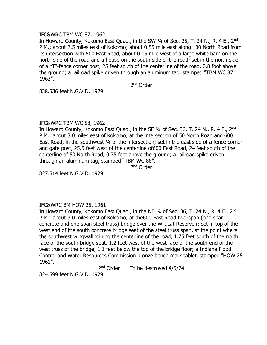## IFC&WRC TBM WC 87, 1962

In Howard County, Kokomo East Quad., in the SW 1/4 of Sec. 25, T. 24 N., R. 4 E., 2<sup>nd</sup> P.M.; about 2.5 miles east of Kokomo; about 0.55 mile east along 100 North Road from its intersection with 500 East Road, about 0.15 mile west of a large white barn on the north side of the road and a house on the south side of the road; set in the north side of a "T"-fence corner post, 25 feet south of the centerline of the road, 0.8 foot above the ground; a railroad spike driven through an aluminum tag, stamped "TBM WC 87 1962".

2<sup>nd</sup> Order

838.536 feet N.G.V.D. 1929

# IFC&WRC TBM WC 88, 1962

In Howard County, Kokomo East Quad., in the SE 1/4 of Sec. 36, T. 24 N., R. 4 E., 2<sup>nd</sup> P.M.; about 3.0 miles east of Kokomo; at the intersection of 50 North Road and 600 East Road, in the southwest 1/4 of the intersection; set in the east side of a fence corner and gate post, 25.5 feet west of the centerline of600 East Road, 24 feet south of the centerline of 50 North Road, 0.75 foot above the ground; a railroad spike driven through an aluminum tag, stamped "TBM WC 88".

2<sup>nd</sup> Order

827.514 feet N.G.V.D. 1929

# IFC&WRC BM HOW 25, 1961

In Howard County, Kokomo East Quad., in the NE 1/4 of Sec. 36, T. 24 N., R. 4 E., 2<sup>nd</sup> P.M.; about 3.0 miles east of Kokomo; at the600 East Road two-span (one span concrete and one span steel truss) bridge over the Wildcat Reservoir; set in top of the west end of the south concrete bridge seat of the steel truss span, at the point where the southwest wingwall joining the centerline of the road, 1.75 feet south of the north face of the south bridge seat, 1.2 feet west of the west face of the south end of the west truss of the bridge, 1.1 feet below the top of the bridge floor; a Indiana Flood Control and Water Resources Commission bronze bench mark tablet, stamped "HOW 25 1961".

> $2<sup>nd</sup> Order$ To be destroyed 4/5/74

824.599 feet N.G.V.D. 1929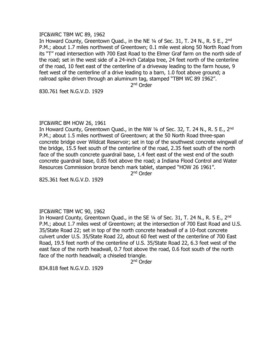#### IFC&WRC TBM WC 89, 1962

In Howard County, Greentown Quad., in the NE 1/4 of Sec. 31, T. 24 N., R. 5 E., 2<sup>nd</sup> P.M.; about 1.7 miles northwest of Greentown; 0.1 mile west along 50 North Road from its "T" road intersection with 700 East Road to the Elmer Graf farm on the north side of the road; set in the west side of a 24-inch Catalpa tree, 24 feet north of the centerline of the road, 10 feet east of the centerline of a driveway leading to the farm house, 9 feet west of the centerline of a drive leading to a barn, 1.0 foot above ground; a railroad spike driven through an aluminum tag, stamped "TBM WC 89 1962".

2<sup>nd</sup> Order

830.761 feet N.G.V.D. 1929

# IFC&WRC BM HOW 26, 1961

In Howard County, Greentown Quad., in the NW 1/4 of Sec. 32, T. 24 N., R. 5 E., 2<sup>nd</sup> P.M.; about 1.5 miles northwest of Greentown; at the 50 North Road three-span concrete bridge over Wildcat Reservoir; set in top of the southwest concrete wingwall of the bridge, 15.5 feet south of the centerline of the road, 2.35 feet south of the north face of the south concrete guardrail base, 1.4 feet east of the west end of the south concrete guardrail base, 0.85 foot above the road; a Indiana Flood Control and Water Resources Commission bronze bench mark tablet, stamped "HOW 26 1961".

2<sup>nd</sup> Order

825.361 feet N.G.V.D. 1929

# IFC&WRC TBM WC 90, 1962

In Howard County, Greentown Quad., in the SE  $\frac{1}{4}$  of Sec. 31, T. 24 N., R. 5 E., 2<sup>nd</sup> P.M.; about 1.7 miles west of Greentown; at the intersection of 700 East Road and U.S. 35/State Road 22; set in top of the north concrete headwall of a 10-foot concrete culvert under U.S. 35/State Road 22, about 60 feet west of the centerline of 700 East Road, 19.5 feet north of the centerline of U.S. 35/State Road 22, 6.3 feet west of the east face of the north headwall, 0.7 foot above the road, 0.6 foot south of the north face of the north headwall; a chiseled triangle.

2<sup>nd</sup> Order

834.818 feet N.G.V.D. 1929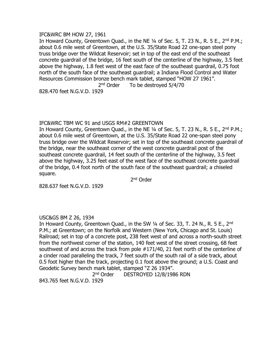#### IFC&WRC BM HOW 27, 1961

In Howard County, Greentown Quad., in the NE  $\frac{1}{4}$  of Sec. 5, T. 23 N., R. 5 E., 2<sup>nd</sup> P.M.; about 0.6 mile west of Greentown, at the U.S. 35/State Road 22 one-span steel pony truss bridge over the Wildcat Reservoir; set in top of the east end of the southeast concrete guardrail of the bridge, 16 feet south of the centerline of the highway, 3.5 feet above the highway, 1.8 feet west of the east face of the southeast guardrail, 0.75 foot north of the south face of the southeast guardrail; a Indiana Flood Control and Water Resources Commission bronze bench mark tablet, stamped "HOW 27 1961".

 $2<sup>nd</sup> Order$ To be destroyed  $5/4/70$ 

828.470 feet N.G.V.D. 1929

# IFC&WRC TBM WC 91 and USGS RM#2 GREENTOWN

In Howard County, Greentown Quad., in the NE  $\frac{1}{4}$  of Sec. 5, T. 23 N., R. 5 E., 2<sup>nd</sup> P.M.; about 0.6 mile west of Greentown, at the U.S. 35/State Road 22 one-span steel pony truss bridge over the Wildcat Reservoir; set in top of the southeast concrete guardrail of the bridge, near the southeast corner of the west concrete guardrail post of the southeast concrete guardrail, 14 feet south of the centerline of the highway, 3.5 feet above the highway, 3.25 feet east of the west face of the southeast concrete guardrail of the bridge, 0.4 foot north of the south face of the southeast guardrail; a chiseled square.

2<sup>nd</sup> Order

828.637 feet N.G.V.D. 1929

# USC&GS BM Z 26, 1934

In Howard County, Greentown Quad., in the SW 1/4 of Sec. 33, T. 24 N., R. 5 E., 2<sup>nd</sup> P.M.; at Greentown; on the Norfolk and Western (New York, Chicago and St. Louis) Railroad; set in top of a concrete post, 238 feet west of and across a north-south street from the northwest corner of the station, 140 feet west of the street crossing, 68 feet southwest of and across the track from pole #171/40, 21 feet north of the centerline of a cinder road paralleling the track, 7 feet south of the south rail of a side track, about 0.5 foot higher than the track, projecting 0.1 foot above the ground; a U.S. Coast and Geodetic Survey bench mark tablet, stamped "Z 26 1934".

2<sup>nd</sup> Order DESTROYED 12/8/1986 RDN

843.765 feet N.G.V.D. 1929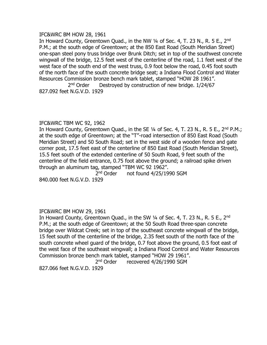#### IFC&WRC BM HOW 28, 1961

In Howard County, Greentown Quad., in the NW 1/4 of Sec. 4, T. 23 N., R. 5 E., 2<sup>nd</sup> P.M.; at the south edge of Greentown; at the 850 East Road (South Meridian Street) one-span steel pony truss bridge over Brunk Ditch; set in top of the southwest concrete wingwall of the bridge, 12.5 feet west of the centerline of the road, 1.1 feet west of the west face of the south end of the west truss, 0.9 foot below the road, 0.45 foot south of the north face of the south concrete bridge seat; a Indiana Flood Control and Water Resources Commission bronze bench mark tablet, stamped "HOW 28 1961".  $2<sup>nd</sup> Order$ Destroyed by construction of new bridge. 1/24/67

827.092 feet N.G.V.D. 1929

# IFC&WRC TBM WC 92, 1962

In Howard County, Greentown Quad., in the SE  $\frac{1}{4}$  of Sec. 4, T. 23 N., R. 5 E., 2<sup>nd</sup> P.M.; at the south edge of Greentown; at the "T"-road intersection of 850 East Road (South Meridian Street) and 50 South Road; set in the west side of a wooden fence and gate corner post, 17.5 feet east of the centerline of 850 East Road (South Meridian Street), 15.5 feet south of the extended centerline of 50 South Road, 9 feet south of the centerline of the field entrance, 0.75 foot above the ground; a railroad spike driven through an aluminum tag, stamped "TBM WC 92 1962".

2<sup>nd</sup> Order not found 4/25/1990 SGM 840.000 feet N.G.V.D. 1929

# IFC&WRC BM HOW 29, 1961

In Howard County, Greentown Quad., in the SW 1/4 of Sec. 4, T. 23 N., R. 5 E., 2<sup>nd</sup> P.M.; at the south edge of Greentown; at the 50 South Road three-span concrete bridge over Wildcat Creek; set in top of the southeast concrete wingwall of the bridge, 15 feet south of the centerline of the bridge, 2.35 feet south of the north face of the south concrete wheel guard of the bridge, 0.7 foot above the ground, 0.5 foot east of the west face of the southeast wingwall; a Indiana Flood Control and Water Resources Commission bronze bench mark tablet, stamped "HOW 29 1961".

2<sup>nd</sup> Order recovered 4/26/1990 SGM

827.066 feet N.G.V.D. 1929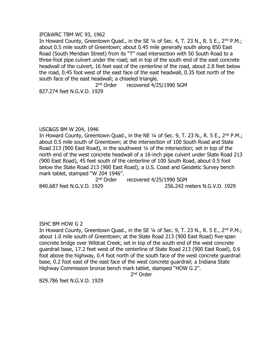#### IFC&WRC TBM WC 93, 1962

In Howard County, Greentown Quad., in the SE 1/4 of Sec. 4, T. 23 N., R. 5 E., 2<sup>nd</sup> P.M.; about 0.5 mile south of Greentown; about 0.45 mile generally south along 850 East Road (South Meridian Street) from its "T" road intersection with 50 South Road to a three-foot pipe culvert under the road; set in top of the south end of the east concrete headwall of the culvert, 16 feet east of the centerline of the road, about 2.8 feet below the road, 0.45 foot west of the east face of the east headwall, 0.35 foot north of the south face of the east headwall; a chiseled triangle.

2<sup>nd</sup> Order recovered 4/25/1990 SGM

827.274 feet N.G.V.D. 1929

#### USC&GS BM W 204, 1946

In Howard County, Greentown Quad., in the NE  $\frac{1}{4}$  of Sec. 9, T. 23 N., R. 5 E., 2<sup>nd</sup> P.M.; about 0.5 mile south of Greentown; at the intersection of 100 South Road and State Road 213 (900 East Road), in the southwest 1/4 of the intersection; set in top of the north end of the west concrete headwall of a 16-inch pipe culvert under State Road 213 (900 East Road), 45 feet south of the centerline of 100 South Road, about 0.5 foot below the State Road 213 (900 East Road); a U.S. Coast and Geodetic Survey bench mark tablet, stamped "W 204 1946".

2<sup>nd</sup> Order recovered 4/25/1990 SGM

840.687 feet N.G.V.D. 1929 256.242 meters N.G.V.D. 1929

# ISHC BM HOW G 2

In Howard County, Greentown Quad., in the SE 1/4 of Sec. 9, T. 23 N., R. 5 E., 2<sup>nd</sup> P.M.; about 1.0 mile south of Greentown; at the State Road 213 (900 East Road) five-span concrete bridge over Wildcat Creek; set in top of the south end of the west concrete guardrail base, 17.2 feet west of the centerline of State Road 213 (900 East Road), 0.6 foot above the highway, 0.4 foot north of the south face of the west concrete guardrail base, 0.2 foot east of the east face of the west concrete guardrail; a Indiana State Highway Commission bronze bench mark tablet, stamped "HOW G 2".

2<sup>nd</sup> Order

829.786 feet N.G.V.D. 1929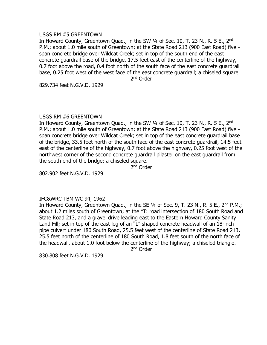## USGS RM #5 GREENTOWN

In Howard County, Greentown Quad., in the SW 1/4 of Sec. 10, T. 23 N., R. 5 E., 2<sup>nd</sup> P.M.; about 1.0 mile south of Greentown; at the State Road 213 (900 East Road) five span concrete bridge over Wildcat Creek; set in top of the south end of the east concrete guardrail base of the bridge, 17.5 feet east of the centerline of the highway, 0.7 foot above the road, 0.4 foot north of the south face of the east concrete guardrail base, 0.25 foot west of the west face of the east concrete guardrail; a chiseled square. 2<sup>nd</sup> Order

829.734 feet N.G.V.D. 1929

#### USGS RM #6 GREENTOWN

In Howard County, Greentown Quad., in the SW 1/4 of Sec. 10, T. 23 N., R. 5 E., 2<sup>nd</sup> P.M.; about 1.0 mile south of Greentown; at the State Road 213 (900 East Road) five span concrete bridge over Wildcat Creek; set in top of the east concrete guardrail base of the bridge, 33.5 feet north of the south face of the east concrete guardrail, 14.5 feet east of the centerline of the highway, 0.7 foot above the highway, 0.25 foot west of the northwest corner of the second concrete guardrail pilaster on the east guardrail from the south end of the bridge; a chiseled square.

2<sup>nd</sup> Order

802.902 feet N.G.V.D. 1929

# IFC&WRC TBM WC 94, 1962

In Howard County, Greentown Quad., in the SE  $\frac{1}{4}$  of Sec. 9, T. 23 N., R. 5 E., 2<sup>nd</sup> P.M.; about 1.2 miles south of Greentown; at the "T: road intersection of 180 South Road and State Road 213, and a gravel drive leading east to the Eastern Howard County Sanity Land Fill; set in top of the east leg of an "L" shaped concrete headwall of an 18-inch pipe culvert under 180 South Road, 25.5 feet west of the centerline of State Road 213, 25.5 feet north of the centerline of 180 South Road, 1.8 feet south of the north face of the headwall, about 1.0 foot below the centerline of the highway; a chiseled triangle.

2<sup>nd</sup> Order

830.808 feet N.G.V.D. 1929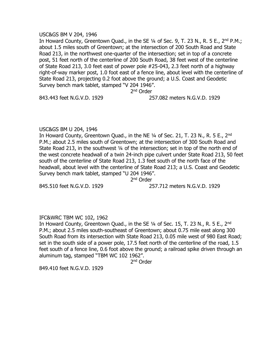#### USC&GS BM V 204, 1946

In Howard County, Greentown Quad., in the SE  $1/4$  of Sec. 9, T. 23 N., R. 5 E., 2<sup>nd</sup> P.M.; about 1.5 miles south of Greentown; at the intersection of 200 South Road and State Road 213, in the northwest one-quarter of the intersection; set in top of a concrete post, 51 feet north of the centerline of 200 South Road, 38 feet west of the centerline of State Road 213, 3.0 feet east of power pole #25-043, 2.3 feet north of a highway right-of-way marker post, 1.0 foot east of a fence line, about level with the centerline of State Road 213, projecting 0.2 foot above the ground; a U.S. Coast and Geodetic Survey bench mark tablet, stamped "V 204 1946".

2<sup>nd</sup> Order

843.443 feet N.G.V.D. 1929 257.082 meters N.G.V.D. 1929

#### USC&GS BM U 204, 1946

In Howard County, Greentown Quad., in the NE  $\frac{1}{4}$  of Sec. 21, T. 23 N., R. 5 E., 2<sup>nd</sup> P.M.; about 2.5 miles south of Greentown; at the intersection of 300 South Road and State Road 213, in the southwest 1/4 of the intersection; set in top of the north end of the west concrete headwall of a twin 24-inch pipe culvert under State Road 213, 50 feet south of the centerline of State Road 213, 1.3 feet south of the north face of the headwall, about level with the centerline of State Road 213; a U.S. Coast and Geodetic Survey bench mark tablet, stamped "U 204 1946".

2<sup>nd</sup> Order

845.510 feet N.G.V.D. 1929 257.712 meters N.G.V.D. 1929

# IFC&WRC TBM WC 102, 1962

In Howard County, Greentown Quad., in the SE  $\frac{1}{4}$  of Sec. 15, T. 23 N., R. 5 E., 2<sup>nd</sup> P.M.; about 2.5 miles south-southeast of Greentown; about 0.75 mile east along 300 South Road from its intersection with State Road 213, 0.05 mile west of 980 East Road; set in the south side of a power pole, 17.5 feet north of the centerline of the road, 1.5 feet south of a fence line, 0.6 foot above the ground; a railroad spike driven through an aluminum tag, stamped "TBM WC 102 1962".

2<sup>nd</sup> Order

849.410 feet N.G.V.D. 1929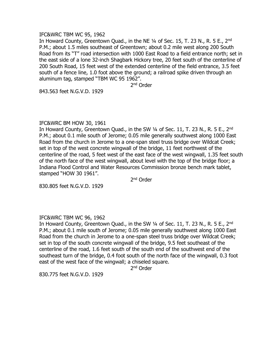#### IFC&WRC TBM WC 95, 1962

In Howard County, Greentown Quad., in the NE 1/4 of Sec. 15, T. 23 N., R. 5 E., 2<sup>nd</sup> P.M.; about 1.5 miles southeast of Greentown; about 0.2 mile west along 200 South Road from its "T" road intersection with 1000 East Road to a field entrance north; set in the east side of a lone 32-inch Shagbark Hickory tree, 20 feet south of the centerline of 200 South Road, 15 feet west of the extended centerline of the field entrance, 3.5 feet south of a fence line, 1.0 foot above the ground; a railroad spike driven through an aluminum tag, stamped "TBM WC 95 1962".

2<sup>nd</sup> Order

843.563 feet N.G.V.D. 1929

# IFC&WRC BM HOW 30, 1961

In Howard County, Greentown Quad., in the SW 1/4 of Sec. 11, T. 23 N., R. 5 E., 2<sup>nd</sup> P.M.; about 0.1 mile south of Jerome; 0.05 mile generally southwest along 1000 East Road from the church in Jerome to a one-span steel truss bridge over Wildcat Creek; set in top of the west concrete wingwall of the bridge, 11 feet northwest of the centerline of the road, 5 feet west of the east face of the west wingwall, 1.35 feet south of the north face of the west wingwall, about level with the top of the bridge floor; a Indiana Flood Control and Water Resources Commission bronze bench mark tablet, stamped "HOW 30 1961".

2<sup>nd</sup> Order

830.805 feet N.G.V.D. 1929

# IFC&WRC TBM WC 96, 1962

In Howard County, Greentown Quad., in the SW  $\frac{1}{4}$  of Sec. 11, T. 23 N., R. 5 E., 2<sup>nd</sup> P.M.; about 0.1 mile south of Jerome; 0.05 mile generally southwest along 1000 East Road from the church in Jerome to a one-span steel truss bridge over Wildcat Creek; set in top of the south concrete wingwall of the bridge, 9.5 feet southeast of the centerline of the road, 1.6 feet south of the south end of the southwest end of the southeast turn of the bridge, 0.4 foot south of the north face of the wingwall, 0.3 foot east of the west face of the wingwall; a chiseled square.

2<sup>nd</sup> Order

830.775 feet N.G.V.D. 1929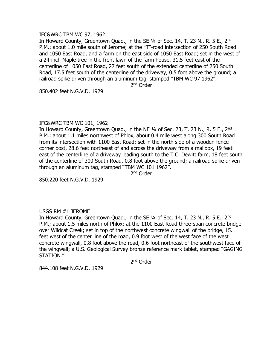#### IFC&WRC TBM WC 97, 1962

In Howard County, Greentown Quad., in the SE 1/4 of Sec. 14, T. 23 N., R. 5 E., 2<sup>nd</sup> P.M.; about 1.0 mile south of Jerome; at the "T"-road intersection of 250 South Road and 1050 East Road, and a farm on the east side of 1050 East Road; set in the west of a 24-inch Maple tree in the front lawn of the farm house, 31.5 feet east of the centerline of 1050 East Road, 27 feet south of the extended centerline of 250 South Road, 17.5 feet south of the centerline of the driveway, 0.5 foot above the ground; a railroad spike driven through an aluminum tag, stamped "TBM WC 97 1962".

2<sup>nd</sup> Order

850.402 feet N.G.V.D. 1929

#### IFC&WRC TBM WC 101, 1962

In Howard County, Greentown Quad., in the NE 1/4 of Sec. 23, T. 23 N., R. 5 E., 2<sup>nd</sup> P.M.; about 1.1 miles northwest of Phlox, about 0.4 mile west along 300 South Road from its intersection with 1100 East Road; set in the north side of a wooden fence corner post, 28.6 feet northeast of and across the driveway from a mailbox, 19 feet east of the centerline of a driveway leading south to the T.C. Dewitt farm, 18 feet south of the centerline of 300 South Road, 0.8 foot above the ground; a railroad spike driven through an aluminum tag, stamped "TBM WC 101 1962".

2<sup>nd</sup> Order

850.220 feet N.G.V.D. 1929

# USGS RM #1 JEROME

In Howard County, Greentown Quad., in the SE 1/4 of Sec. 14, T. 23 N., R. 5 E., 2<sup>nd</sup> P.M.; about 1.5 miles north of Phlox; at the 1100 East Road three-span concrete bridge over Wildcat Creek; set in top of the northwest concrete wingwall of the bridge, 15.1 feet west of the center line of the road, 0.9 foot west of the west face of the west concrete wingwall, 0.8 foot above the road, 0.6 foot northeast of the southwest face of the wingwall; a U.S. Geological Survey bronze reference mark tablet, stamped "GAGING STATION."

2<sup>nd</sup> Order

844.108 feet N.G.V.D. 1929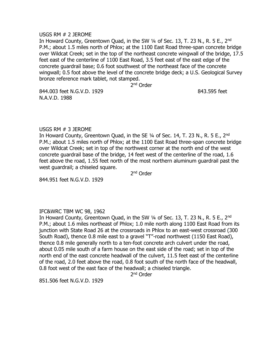#### USGS RM # 2 JEROME

In Howard County, Greentown Quad, in the SW 1/4 of Sec. 13, T. 23 N., R. 5 E., 2<sup>nd</sup> P.M.; about 1.5 miles north of Phlox; at the 1100 East Road three-span concrete bridge over Wildcat Creek; set in the top of the northeast concrete wingwall of the bridge, 17.5 feet east of the centerline of 1100 East Road, 3.5 feet east of the east edge of the concrete guardrail base; 0.6 foot southwest of the northeast face of the concrete wingwall; 0.5 foot above the level of the concrete bridge deck; a U.S. Geological Survey bronze reference mark tablet, not stamped.

2<sup>nd</sup> Order

844.003 feet N.G.V.D. 1929 843.595 feet N.A.V.D. 1988

#### USGS RM # 3 JEROME

In Howard County, Greentown Quad, in the SE 1/4 of Sec. 14, T. 23 N., R. 5 E., 2<sup>nd</sup> P.M.; about 1.5 miles north of Phlox; at the 1100 East Road three-span concrete bridge over Wildcat Creek; set in top of the northwest corner at the north end of the west concrete guardrail base of the bridge, 14 feet west of the centerline of the road, 1.6 feet above the road, 1.55 feet north of the most northern aluminum guardrail past the west guardrail; a chiseled square.

2<sup>nd</sup> Order

844.951 feet N.G.V.D. 1929

# IFC&WRC TBM WC 98, 1962

In Howard County, Greentown Quad, in the SW 1/4 of Sec. 13, T. 23 N., R. 5 E., 2<sup>nd</sup> P.M.; about 1.6 miles northeast of Phlox; 1.0 mile north along 1100 East Road from its junction with State Road 26 at the crossroads in Phlox to an east-west crossroad (300 South Road), thence 0.8 mile east to a gravel "T"-road northwest (1150 East Road), thence 0.8 mile generally north to a ten-foot concrete arch culvert under the road, about 0.05 mile south of a farm house on the east side of the road; set in top of the north end of the east concrete headwall of the culvert, 11.5 feet east of the centerline of the road, 2.0 feet above the road, 0.8 foot south of the north face of the headwall, 0.8 foot west of the east face of the headwall; a chiseled triangle.

2<sup>nd</sup> Order

851.506 feet N.G.V.D. 1929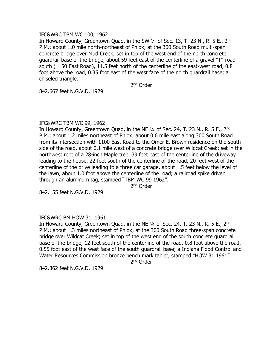#### IFC&WRC TBM WC 100, 1962

In Howard County, Greentown Ouad, in the SW 1/4 of Sec. 13, T. 23 N., R. 5 E., 2<sup>nd</sup> P.M.; about 1.0 mile north-northeast of Phlox; at the 300 South Road multi-span concrete bridge over Mud Creek; set in top of the west end of the north concrete guardrail base of the bridge, about 59 feet east of the centerline of a gravel "T"-road south (1150 East Road), 11.5 feet north of the centerline of the east-west road, 0.8 foot above the road, 0.35 foot east of the west face of the north guardrail base; a chiseled triangle.

2<sup>nd</sup> Order

842.667 feet N.G.V.D. 1929

# IFC&WRC TBM WC 99, 1962

In Howard County, Greentown Quad, in the NE  $\frac{1}{4}$  of Sec. 24, T. 23 N., R. 5 E., 2<sup>nd</sup> P.M.; about 1.2 miles northeast of Phlox; about 0.6 mile east along 300 South Road from its intersection with 1100 East Road to the Omer E. Brown residence on the south side of the road, about 0.1 mile west of a concrete bridge over Wildcat Creek; set in the northwest root of a 28-inch Maple tree, 39 feet east of the centerline of the driveway leading to the house, 22 feet south of the centerline of the road, 20 feet west of the centerline of the drive leading to a three car garage, about 1.5 feet below the level of the lawn, about 1.0 foot above the centerline of the road; a railroad spike driven through an aluminum tag, stamped "TBM WC 99 1962".

2<sup>nd</sup> Order

842.155 feet N.G.V.D. 1929

# IFC&WRC BM HOW 31, 1961

In Howard County, Greentown Quad, in the NE 1/4 of Sec. 24, T. 23 N., R. 5 E., 2<sup>nd</sup> P.M.; about 1.3 miles northeast of Phlox; at the 300 South Road three-span concrete bridge over Wildcat Creek; set in top of the west end of the south concrete guardrail base of the bridge, 12 feet south of the centerline of the road, 0.8 foot above the road, 0.55 foot east of the west face of the south guardrail base; a Indiana Flood Control and Water Resources Commission bronze bench mark tablet, stamped "HOW 31 1961".

2<sup>nd</sup> Order

842.362 feet N.G.V.D. 1929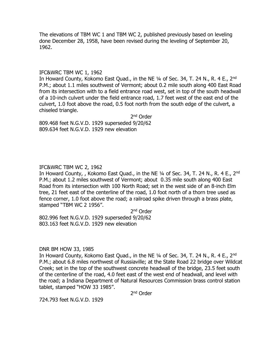The elevations of TBM WC 1 and TBM WC 2, published previously based on leveling done December 28, 1958, have been revised during the leveling of September 20, 1962.

#### IFC&WRC TBM WC 1, 1962

In Howard County, Kokomo East Quad., in the NE 1/4 of Sec. 34, T. 24 N., R. 4 E., 2<sup>nd</sup> P.M.; about 1.1 miles southwest of Vermont; about 0.2 mile south along 400 East Road from its intersection with to a field entrance road west, set in top of the south headwall of a 10-inch culvert under the field entrance road, 1.7 feet west of the east end of the culvert, 1.0 foot above the road, 0.5 foot north from the south edge of the culvert, a chiseled triangle.

2<sup>nd</sup> Order 809.468 feet N.G.V.D. 1929 superseded 9/20/62 809.634 feet N.G.V.D. 1929 new elevation

# IFC&WRC TBM WC 2, 1962

In Howard County,, Kokomo East Quad., in the NE 1/4 of Sec. 34, T. 24 N., R. 4 E., 2<sup>nd</sup> P.M.; about 1.2 miles southwest of Vermont; about 0.35 mile south along 400 East Road from its intersection with 100 North Road; set in the west side of an 8-inch Elm tree, 21 feet east of the centerline of the road, 1.0 foot north of a thorn tree used as fence corner, 1.0 foot above the road; a railroad spike driven through a brass plate, stamped "TBM WC 2 1956".

2<sup>nd</sup> Order

802.996 feet N.G.V.D. 1929 superseded 9/20/62 803.163 feet N.G.V.D. 1929 new elevation

#### DNR BM HOW 33, 1985

In Howard County, Kokomo East Quad., in the NE 1/4 of Sec. 34, T. 24 N., R. 4 E., 2<sup>nd</sup> P.M.; about 6.8 miles northwest of Russiaville; at the State Road 22 bridge over Wildcat Creek; set in the top of the southwest concrete headwall of the bridge, 23.5 feet south of the centerline of the road, 4.0 feet east of the west end of headwall, and level with the road; a Indiana Department of Natural Resources Commission brass control station tablet, stamped "HOW 33 1985".

2<sup>nd</sup> Order

724.793 feet N.G.V.D. 1929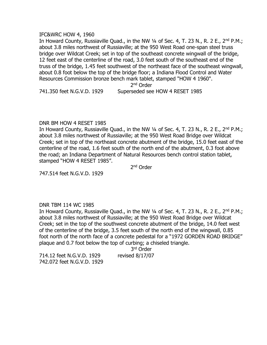#### IFC&WRC HOW 4, 1960

In Howard County, Russiaville Quad., in the NW 1/4 of Sec. 4, T. 23 N., R. 2 E., 2<sup>nd</sup> P.M.; about 3.8 miles northwest of Russiaville; at the 950 West Road one-span steel truss bridge over Wildcat Creek; set in top of the southeast concrete wingwall of the bridge, 12 feet east of the centerline of the road, 3.0 feet south of the southeast end of the truss of the bridge, 1.45 feet southwest of the northeast face of the southeast wingwall, about 0.8 foot below the top of the bridge floor; a Indiana Flood Control and Water Resources Commission bronze bench mark tablet, stamped "HOW 4 1960".

2<sup>nd</sup> Order

741.350 feet N.G.V.D. 1929 Superseded see HOW 4 RESET 1985

# DNR BM HOW 4 RESET 1985

In Howard County, Russiaville Quad., in the NW 1/4 of Sec. 4, T. 23 N., R. 2 E., 2<sup>nd</sup> P.M.; about 3.8 miles northwest of Russiaville; at the 950 West Road Bridge over Wildcat Creek; set in top of the northeast concrete abutment of the bridge, 15.0 feet east of the centerline of the road, 1.6 feet south of the north end of the abutment, 0.3 foot above the road; an Indiana Department of Natural Resources bench control station tablet, stamped "HOW 4 RESET 1985".

2<sup>nd</sup> Order

747.514 feet N.G.V.D. 1929

# DNR TBM 114 WC 1985

In Howard County, Russiaville Quad., in the NW 1/4 of Sec. 4, T. 23 N., R. 2 E., 2<sup>nd</sup> P.M.; about 3.8 miles northwest of Russiaville; at the 950 West Road Bridge over Wildcat Creek; set in the top of the southwest concrete abutment of the bridge, 14.0 feet west of the centerline of the bridge, 3.5 feet south of the north end of the wingwall, 0.85 foot north of the north face of a concrete pedestal for a "1972 GORDEN ROAD BRIDGE" plaque and 0.7 foot below the top of curbing; a chiseled triangle.

3 rd Order 714.12 feet N.G.V.D. 1929 revised 8/17/07 742.072 feet N.G.V.D. 1929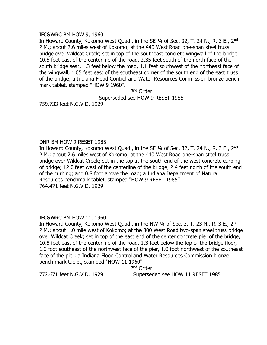#### IFC&WRC BM HOW 9, 1960

In Howard County, Kokomo West Quad., in the SE 1/4 of Sec. 32, T. 24 N., R. 3 E., 2<sup>nd</sup> P.M.; about 2.6 miles west of Kokomo; at the 440 West Road one-span steel truss bridge over Wildcat Creek; set in top of the southeast concrete wingwall of the bridge, 10.5 feet east of the centerline of the road, 2.35 feet south of the north face of the south bridge seat, 1.3 feet below the road, 1.1 feet southwest of the northeast face of the wingwall, 1.05 feet east of the southeast corner of the south end of the east truss of the bridge; a Indiana Flood Control and Water Resources Commission bronze bench mark tablet, stamped "HOW 9 1960".

2<sup>nd</sup> Order

Superseded see HOW 9 RESET 1985

759.733 feet N.G.V.D. 1929

# DNR BM HOW 9 RESET 1985

In Howard County, Kokomo West Quad., in the SE 1/4 of Sec. 32, T. 24 N., R. 3 E., 2<sup>nd</sup> P.M.; about 2.6 miles west of Kokomo; at the 440 West Road one-span steel truss bridge over Wildcat Creek; set in the top at the south end of the west concrete curbing of bridge; 12.0 feet west of the centerline of the bridge, 2.4 feet north of the south end of the curbing; and 0.8 foot above the road; a Indiana Department of Natural Resources benchmark tablet, stamped "HOW 9 RESET 1985". 764.471 feet N.G.V.D. 1929

# IFC&WRC BM HOW 11, 1960

In Howard County, Kokomo West Quad., in the NW 1/4 of Sec. 3, T. 23 N., R. 3 E., 2<sup>nd</sup> P.M.; about 1.0 mile west of Kokomo; at the 300 West Road two-span steel truss bridge over Wildcat Creek; set in top of the east end of the center concrete pier of the bridge, 10.5 feet east of the centerline of the road, 1.3 feet below the top of the bridge floor, 1.0 foot southeast of the northwest face of the pier, 1.0 foot northwest of the southeast face of the pier; a Indiana Flood Control and Water Resources Commission bronze bench mark tablet, stamped "HOW 11 1960".

2<sup>nd</sup> Order

772.671 feet N.G.V.D. 1929 Superseded see HOW 11 RESET 1985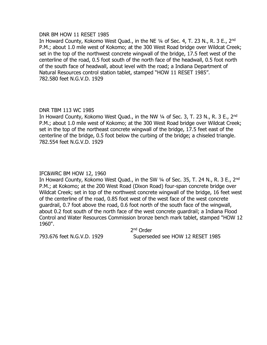#### DNR BM HOW 11 RESET 1985

In Howard County, Kokomo West Ouad., in the NE 1/4 of Sec. 4, T. 23 N., R. 3 E., 2<sup>nd</sup> P.M.; about 1.0 mile west of Kokomo; at the 300 West Road bridge over Wildcat Creek; set in the top of the northwest concrete wingwall of the bridge, 17.5 feet west of the centerline of the road, 0.5 foot south of the north face of the headwall, 0.5 foot north of the south face of headwall, about level with the road; a Indiana Department of Natural Resources control station tablet, stamped "HOW 11 RESET 1985". 782.580 feet N.G.V.D. 1929

# DNR TBM 113 WC 1985

In Howard County, Kokomo West Quad., in the NW  $\frac{1}{4}$  of Sec. 3, T. 23 N., R. 3 E., 2<sup>nd</sup> P.M.; about 1.0 mile west of Kokomo; at the 300 West Road bridge over Wildcat Creek; set in the top of the northeast concrete wingwall of the bridge, 17.5 feet east of the centerline of the bridge, 0.5 foot below the curbing of the bridge; a chiseled triangle. 782.554 feet N.G.V.D. 1929

# IFC&WRC BM HOW 12, 1960

In Howard County, Kokomo West Quad., in the SW 1/4 of Sec. 35, T. 24 N., R. 3 E., 2<sup>nd</sup> P.M.; at Kokomo; at the 200 West Road (Dixon Road) four-span concrete bridge over Wildcat Creek; set in top of the northwest concrete wingwall of the bridge, 16 feet west of the centerline of the road, 0.85 foot west of the west face of the west concrete guardrail, 0.7 foot above the road, 0.6 foot north of the south face of the wingwall, about 0.2 foot south of the north face of the west concrete guardrail; a Indiana Flood Control and Water Resources Commission bronze bench mark tablet, stamped "HOW 12 1960".

2<sup>nd</sup> Order 793.676 feet N.G.V.D. 1929 Superseded see HOW 12 RESET 1985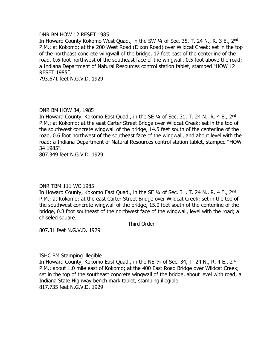#### DNR BM HOW 12 RESET 1985

In Howard County Kokomo West Quad., in the SW 1/4 of Sec. 35, T. 24 N., R. 3 E., 2<sup>nd</sup> P.M.; at Kokomo; at the 200 West Road (Dixon Road) over Wildcat Creek; set in the top of the northeast concrete wingwall of the bridge, 17 feet east of the centerline of the road, 0.6 foot northwest of the southeast face of the wingwall, 0.5 foot above the road; a Indiana Department of Natural Resources control station tablet, stamped "HOW 12 RESET 1985".

793.671 feet N.G.V.D. 1929

#### DNR BM HOW 34, 1985

In Howard County, Kokomo East Quad., in the SE 1/4 of Sec. 31, T. 24 N., R. 4 E., 2<sup>nd</sup> P.M.; at Kokomo; at the east Carter Street Bridge over Wildcat Creek; set in the top of the southwest concrete wingwall of the bridge, 14.5 feet south of the centerline of the road, 0.6 foot northwest of the southeast face of the wingwall, and about level with the road; a Indiana Department of Natural Resources control station tablet, stamped "HOW 34 1985".

807.349 feet N.G.V.D. 1929

# DNR TBM 111 WC 1985

In Howard County, Kokomo East Quad., in the SE 1/4 of Sec. 31, T. 24 N., R. 4 E., 2<sup>nd</sup> P.M.; at Kokomo; at the east Carter Street Bridge over Wildcat Creek; set in the top of the southwest concrete wingwall of the bridge, 15.0 feet south of the centerline of the bridge, 0.8 foot southeast of the northwest face of the wingwall, level with the road; a chiseled square.

Third Order

807.31 feet N.G.V.D. 1929

#### ISHC BM Stamping illegible

In Howard County, Kokomo East Quad., in the NE 1/4 of Sec. 34, T. 24 N., R. 4 E., 2<sup>nd</sup> P.M.; about 1.0 mile east of Kokomo; at the 400 East Road Bridge over Wildcat Creek; set in the top of the southeast concrete wingwall of the bridge, about level with road; a Indiana State Highway bench mark tablet, stamping illegible. 817.735 feet N.G.V.D. 1929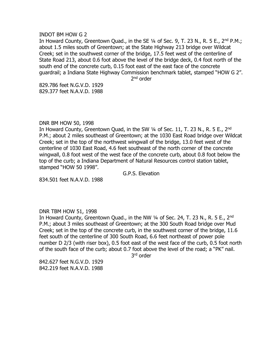#### INDOT BM HOW G 2

In Howard County, Greentown Quad., in the SE  $1/4$  of Sec. 9, T. 23 N., R. 5 E., 2<sup>nd</sup> P.M.; about 1.5 miles south of Greentown; at the State Highway 213 bridge over Wildcat Creek; set in the southwest corner of the bridge, 17.5 feet west of the centerline of State Road 213, about 0.6 foot above the level of the bridge deck, 0.4 foot north of the south end of the concrete curb, 0.15 foot east of the east face of the concrete guardrail; a Indiana State Highway Commission benchmark tablet, stamped "HOW G 2".

2<sup>nd</sup> order

829.786 feet N.G.V.D. 1929 829.377 feet N.A.V.D. 1988

#### DNR BM HOW 50, 1998

In Howard County, Greentown Quad, in the SW 1/4 of Sec. 11, T. 23 N., R. 5 E., 2<sup>nd</sup> P.M.; about 2 miles southeast of Greentown; at the 1030 East Road bridge over Wildcat Creek; set in the top of the northwest wingwall of the bridge, 13.0 feet west of the centerline of 1030 East Road, 4.6 feet southeast of the north corner of the concrete wingwall, 0.8 foot west of the west face of the concrete curb, about 0.8 foot below the top of the curb; a Indiana Department of Natural Resources control station tablet, stamped "HOW 50 1998".

G.P.S. Elevation

834.501 feet N.A.V.D. 1988

#### DNR TBM HOW 51, 1998

In Howard County, Greentown Quad., in the NW  $\frac{1}{4}$  of Sec. 24, T. 23 N., R. 5 E., 2<sup>nd</sup> P.M.; about 3 miles southeast of Greentown; at the 300 South Road bridge over Mud Creek; set in the top of the concrete curb, in the southwest corner of the bridge, 11.6 feet south of the centerline of 300 South Road, 6.6 feet northeast of power pole number D 2/3 (with riser box), 0.5 foot east of the west face of the curb, 0.5 foot north of the south face of the curb; about 0.7 foot above the level of the road; a "PK" nail.

3<sup>rd</sup> order

842.627 feet N.G.V.D. 1929 842.219 feet N.A.V.D. 1988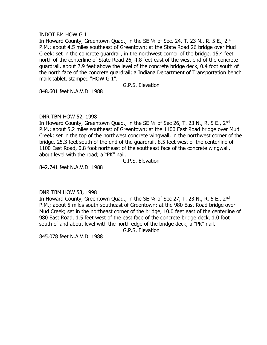#### INDOT BM HOW G 1

In Howard County, Greentown Quad., in the SE  $\frac{1}{4}$  of Sec. 24, T. 23 N., R. 5 E., 2<sup>nd</sup> P.M.; about 4.5 miles southeast of Greentown; at the State Road 26 bridge over Mud Creek; set in the concrete guardrail, in the northwest corner of the bridge, 15.4 feet north of the centerline of State Road 26, 4.8 feet east of the west end of the concrete guardrail, about 2.9 feet above the level of the concrete bridge deck, 0.4 foot south of the north face of the concrete guardrail; a Indiana Department of Transportation bench mark tablet, stamped "HOW G 1".

G.P.S. Elevation

848.601 feet N.A.V.D. 1988

# DNR TBM HOW 52, 1998

In Howard County, Greentown Quad., in the SE 1/4 of Sec 26, T. 23 N., R. 5 E., 2<sup>nd</sup> P.M.; about 5.2 miles southeast of Greentown; at the 1100 East Road bridge over Mud Creek; set in the top of the northwest concrete wingwall, in the northwest corner of the bridge, 25.3 feet south of the end of the guardrail, 8.5 feet west of the centerline of 1100 East Road, 0.8 foot northeast of the southeast face of the concrete wingwall, about level with the road; a "PK" nail.

G.P.S. Elevation

842.741 feet N.A.V.D. 1988

# DNR TBM HOW 53, 1998

In Howard County, Greentown Quad., in the SE 1/4 of Sec 27, T. 23 N., R. 5 E., 2<sup>nd</sup> P.M.; about 5 miles south-southeast of Greentown; at the 980 East Road bridge over Mud Creek; set in the northeast corner of the bridge, 10.0 feet east of the centerline of 980 East Road, 1.5 feet west of the east face of the concrete bridge deck, 1.0 foot south of and about level with the north edge of the bridge deck; a "PK" nail.

G.P.S. Elevation

845.078 feet N.A.V.D. 1988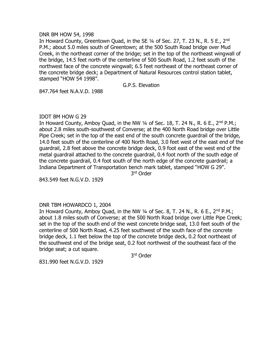#### DNR BM HOW 54, 1998

In Howard County, Greentown Quad, in the SE 1/4 of Sec. 27, T. 23 N., R. 5 E., 2<sup>nd</sup> P.M.; about 5.0 miles south of Greentown; at the 500 South Road bridge over Mud Creek, in the northeast corner of the bridge; set in the top of the northeast wingwall of the bridge, 14.5 feet north of the centerline of 500 South Road, 1.2 feet south of the northwest face of the concrete wingwall; 6.5 feet northeast of the northeast corner of the concrete bridge deck; a Department of Natural Resources control station tablet, stamped "HOW 54 1998".

# G.P.S. Elevation

847.764 feet N.A.V.D. 1988

# IDOT BM HOW G 29

In Howard County, Amboy Quad, in the NW  $\frac{1}{4}$  of Sec. 18, T. 24 N., R. 6 E., 2<sup>nd</sup> P.M.; about 2.8 miles south-southwest of Converse; at the 400 North Road bridge over Little Pipe Creek; set in the top of the east end of the south concrete guardrail of the bridge, 14.0 feet south of the centerline of 400 North Road, 3.0 feet west of the east end of the guardrail, 2.8 feet above the concrete bridge deck, 0.9 foot east of the west end of the metal guardrail attached to the concrete guardrail, 0.4 foot north of the south edge of the concrete guardrail, 0.4 foot south of the north edge of the concrete guardrail; a Indiana Department of Transportation bench mark tablet, stamped "HOW G 29". 3 rd Order

843.549 feet N.G.V.D. 1929

# DNR TBM HOWARDCO 1, 2004

In Howard County, Amboy Quad, in the NW  $\frac{1}{4}$  of Sec. 8, T. 24 N., R. 6 E., 2<sup>nd</sup> P.M.; about 1.8 miles south of Converse; at the 500 North Road bridge over Little Pipe Creek; set in the top of the south end of the west concrete bridge seat, 13.0 feet south of the centerline of 500 North Road, 4.25 feet southwest of the south face of the concrete bridge deck, 1.1 feet below the top of the concrete bridge deck, 0.2 foot northeast of the southwest end of the bridge seat, 0.2 foot northwest of the southeast face of the bridge seat; a cut square.

3 rd Order

831.990 feet N.G.V.D. 1929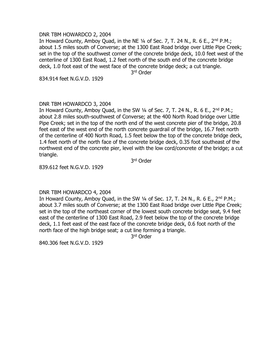#### DNR TBM HOWARDCO 2, 2004

In Howard County, Amboy Quad, in the NE  $\frac{1}{4}$  of Sec. 7, T. 24 N., R. 6 E., 2<sup>nd</sup> P.M.; about 1.5 miles south of Converse; at the 1300 East Road bridge over Little Pipe Creek; set in the top of the southwest corner of the concrete bridge deck, 10.0 feet west of the centerline of 1300 East Road, 1.2 feet north of the south end of the concrete bridge deck, 1.0 foot east of the west face of the concrete bridge deck; a cut triangle.

3 rd Order

834.914 feet N.G.V.D. 1929

# DNR TBM HOWARDCO 3, 2004

In Howard County, Amboy Quad, in the SW  $\frac{1}{4}$  of Sec. 7, T. 24 N., R. 6 E., 2<sup>nd</sup> P.M.; about 2.8 miles south-southwest of Converse; at the 400 North Road bridge over Little Pipe Creek; set in the top of the north end of the west concrete pier of the bridge, 20.8 feet east of the west end of the north concrete guardrail of the bridge, 16.7 feet north of the centerline of 400 North Road, 1.5 feet below the top of the concrete bridge deck, 1.4 feet north of the north face of the concrete bridge deck, 0.35 foot southeast of the northwest end of the concrete pier, level with the low cord/concrete of the bridge; a cut triangle.

3 rd Order

839.612 feet N.G.V.D. 1929

# DNR TBM HOWARDCO 4, 2004

In Howard County, Amboy Quad, in the SW  $\frac{1}{4}$  of Sec. 17, T. 24 N., R. 6 E., 2<sup>nd</sup> P.M.; about 3.7 miles south of Converse; at the 1300 East Road bridge over Little Pipe Creek; set in the top of the northeast corner of the lowest south concrete bridge seat, 9.4 feet east of the centerline of 1300 East Road, 2.9 feet below the top of the concrete bridge deck, 1.1 feet east of the east face of the concrete bridge deck, 0.6 foot north of the north face of the high bridge seat; a cut line forming a triangle.

3 rd Order

840.306 feet N.G.V.D. 1929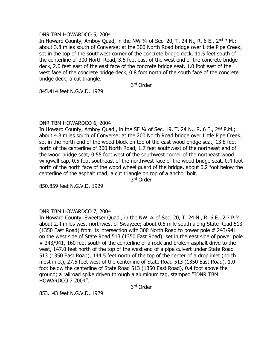#### DNR TBM HOWARDCO 5, 2004

In Howard County, Amboy Quad, in the NW 1/4 of Sec. 20, T. 24 N., R. 6 E., 2<sup>nd</sup> P.M.; about 3.8 miles south of Converse; at the 300 North Road bridge over Little Pipe Creek; set in the top of the southwest corner of the concrete bridge deck, 11.5 feet south of the centerline of 300 North Road, 3.5 feet east of the west end of the concrete bridge deck, 2.0 feet east of the east face of the concrete bridge seat, 1.0 foot east of the west face of the concrete bridge deck, 0.8 foot north of the south face of the concrete bridge deck; a cut triangle.

3 rd Order

845.414 feet N.G.V.D. 1929

# DNR TBM HOWARDCO 6, 2004

In Howard County, Amboy Quad., in the SE  $\frac{1}{4}$  of Sec. 19, T. 24 N., R. 6 E., 2<sup>nd</sup> P.M.; about 4.8 miles south of Converse; at the 200 North Road bridge over Little Pipe Creek; set in the north end of the wood block on top of the east wood bridge seat, 13.8 feet north of the centerline of 300 North Road, 1.7 feet southwest of the northeast end of the wood bridge seat, 0.55 foot west of the southwest corner of the northeast wood wingwall cap, 0.5 foot southeast of the northwest face of the wood bridge seat, 0.4 foot north of the north face of the wood wheel guard of the bridge, about 0.2 foot below the centerline of the asphalt road; a cut triangle on top of a anchor bolt.

3 rd Order

850.859 feet N.G.V.D. 1929

# DNR TBM HOWARDCO 7, 2004

In Howard County, Sweetser Quad., in the NW 1/4 of Sec. 20, T. 24 N., R. 6 E., 2<sup>nd</sup> P.M.; about 2.4 miles west-northwest of Swayzee; about 0.5 mile south along State Road 513 (1350 East Road) from its intersection with 300 North Road to power pole # 243/941 on the west side of State Road 513 (1350 East Road); set in the east side of power pole # 243/941, 160 feet south of the centerline of a rock and broken asphalt drive to the west, 147.0 feet north of the top of the west end of a pipe culvert under State Road 513 (1350 East Road), 144.5 feet north of the top of the center of a drop inlet (north most inlet), 27.5 feet west of the centerline of State Road 513 (1350 East Road), 1.0 foot below the centerline of State Road 513 (1350 East Road), 0.4 foot above the ground; a railroad spike driven through a aluminum tag, stamped "IDNR TBM HOWARDCO 7 2004".

3 rd Order

853.143 feet N.G.V.D. 1929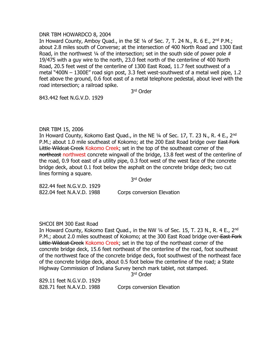#### DNR TBM HOWARDCO 8, 2004

In Howard County, Amboy Quad., in the SE  $\frac{1}{4}$  of Sec. 7, T. 24 N., R. 6 E., 2<sup>nd</sup> P.M.; about 2.8 miles south of Converse; at the intersection of 400 North Road and 1300 East Road, in the northwest  $\frac{1}{4}$  of the intersection; set in the south side of power pole # 19/475 with a guy wire to the north, 23.0 feet north of the centerline of 400 North Road, 20.5 feet west of the centerline of 1300 East Road, 11.7 feet southwest of a metal "400N – 1300E" road sign post, 3.3 feet west-southwest of a metal well pipe, 1.2 feet above the ground, 0.6 foot east of a metal telephone pedestal, about level with the road intersection; a railroad spike.

3 rd Order

843.442 feet N.G.V.D. 1929

# DNR TBM 15, 2006

In Howard County, Kokomo East Quad., in the NE 1/4 of Sec. 17, T. 23 N., R. 4 E., 2<sup>nd</sup> P.M.; about 1.0 mile southeast of Kokomo; at the 200 East Road bridge over East Fork Little Wildcat Creek Kokomo Creek; set in the top of the southeast corner of the northeast northwest concrete wingwall of the bridge, 13.8 feet west of the centerline of the road, 0.9 foot east of a utility pipe, 0.3 foot west of the west face of the concrete bridge deck, about 0.1 foot below the asphalt on the concrete bridge deck; two cut lines forming a square.

3 rd Order

822.44 feet N.G.V.D. 1929 822.04 feet N.A.V.D. 1988 Corps conversion Elevation

# SHCOI BM 300 East Road

In Howard County, Kokomo East Quad., in the NW 1/4 of Sec. 15, T. 23 N., R. 4 E., 2<sup>nd</sup> P.M.; about 2.0 miles southeast of Kokomo; at the 300 East Road bridge over East Fork Little Wildcat Creek Kokomo Creek; set in the top of the northeast corner of the concrete bridge deck, 15.6 feet northeast of the centerline of the road, foot southeast of the northwest face of the concrete bridge deck, foot southwest of the northeast face of the concrete bridge deck, about 0.5 foot below the centerline of the road; a State Highway Commission of Indiana Survey bench mark tablet, not stamped.

3 rd Order

829.11 feet N.G.V.D. 1929 828.71 feet N.A.V.D. 1988 Corps conversion Elevation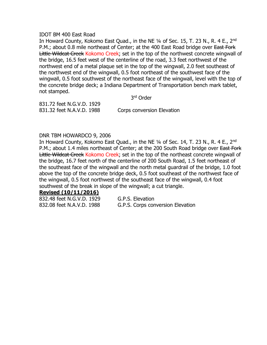#### IDOT BM 400 East Road

In Howard County, Kokomo East Ouad., in the NE 1/4 of Sec. 15, T. 23 N., R. 4 E., 2<sup>nd</sup> P.M.; about 0.8 mile northeast of Center; at the 400 East Road bridge over East Fork Little Wildcat Creek Kokomo Creek; set in the top of the northwest concrete wingwall of the bridge, 16.5 feet west of the centerline of the road, 3.3 feet northwest of the northwest end of a metal plaque set in the top of the wingwall, 2.0 feet southeast of the northwest end of the wingwall, 0.5 foot northeast of the southwest face of the wingwall, 0.5 foot southwest of the northeast face of the wingwall, level with the top of the concrete bridge deck; a Indiana Department of Transportation bench mark tablet, not stamped.

3 rd Order

831.72 feet N.G.V.D. 1929 831.32 feet N.A.V.D. 1988 Corps conversion Elevation

# DNR TBM HOWARDCO 9, 2006

In Howard County, Kokomo East Quad., in the NE 1/4 of Sec. 14, T. 23 N., R. 4 E., 2<sup>nd</sup> P.M.; about 1.4 miles northeast of Center; at the 200 South Road bridge over East Fork Little Wildcat Creek Kokomo Creek; set in the top of the northeast concrete wingwall of the bridge, 16.7 feet north of the centerline of 200 South Road, 1.5 feet northeast of the southeast face of the wingwall and the north metal guardrail of the bridge, 1.0 foot above the top of the concrete bridge deck, 0.5 foot southeast of the northwest face of the wingwall, 0.5 foot northwest of the southeast face of the wingwall, 0.4 foot southwest of the break in slope of the wingwall; a cut triangle.

# **Revised (10/11/2016)**

832.48 feet N.G.V.D. 1929 G.P.S. Elevation

832.08 feet N.A.V.D. 1988 G.P.S. Corps conversion Elevation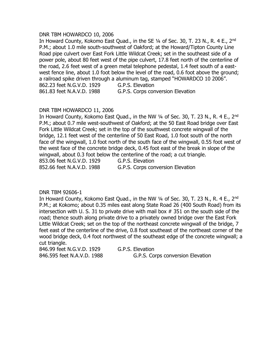#### DNR TBM HOWARDCO 10, 2006

In Howard County, Kokomo East Ouad., in the SE 1/4 of Sec. 30, T. 23 N., R. 4 E., 2<sup>nd</sup> P.M.; about 1.0 mile south-southwest of Oakford; at the Howard/Tipton County Line Road pipe culvert over East Fork Little Wildcat Creek; set in the southeast side of a power pole, about 80 feet west of the pipe culvert, 17.8 feet north of the centerline of the road, 2.6 feet west of a green metal telephone pedestal, 1.4 feet south of a eastwest fence line, about 1.0 foot below the level of the road, 0.6 foot above the ground; a railroad spike driven through a aluminum tag, stamped "HOWARDCO 10 2006". 862.23 feet N.G.V.D. 1929 G.P.S. Elevation 861.83 feet N.A.V.D. 1988 G.P.S. Corps conversion Elevation

# DNR TBM HOWARDCO 11, 2006

In Howard County, Kokomo East Quad., in the NW 1/4 of Sec. 30, T. 23 N., R. 4 E., 2<sup>nd</sup> P.M.; about 0.7 mile west-southwest of Oakford; at the 50 East Road bridge over East Fork Little Wildcat Creek; set in the top of the southwest concrete wingwall of the bridge, 12.1 feet west of the centerline of 50 East Road, 1.0 foot south of the north face of the wingwall, 1.0 foot north of the south face of the wingwall, 0.55 foot west of the west face of the concrete bridge deck, 0.45 foot east of the break in slope of the wingwall, about 0.3 foot below the centerline of the road; a cut triangle.

853.06 feet N.G.V.D. 1929 G.P.S. Elevation

852.66 feet N.A.V.D. 1988 G.P.S. Corps conversion Elevation

DNR TBM 92606-1

In Howard County, Kokomo East Quad., in the NW 1/4 of Sec. 30, T. 23 N., R. 4 E., 2<sup>nd</sup> P.M.; at Kokomo; about 0.35 miles east along State Road 26 (400 South Road) from its intersection with U. S. 31 to private drive with mail box # 351 on the south side of the road; thence south along private drive to a privately owned bridge over the East Fork Little Wildcat Creek; set on the top of the northeast concrete wingwall of the bridge, 7 feet east of the centerline of the drive, 0.8 foot southeast of the northeast corner of the wood bridge deck, 0.4 foot northwest of the southeast edge of the concrete wingwall; a cut triangle.

846.99 feet N.G.V.D. 1929 G.P.S. Elevation

846.595 feet N.A.V.D. 1988 G.P.S. Corps conversion Elevation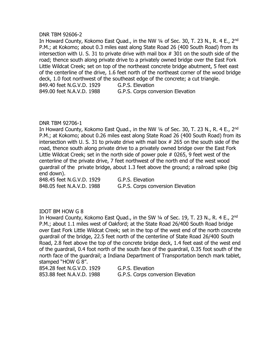#### DNR TBM 92606-2

In Howard County, Kokomo East Quad., in the NW 1/4 of Sec. 30, T. 23 N., R. 4 E., 2<sup>nd</sup> P.M.; at Kokomo; about 0.3 miles east along State Road 26 (400 South Road) from its intersection with U. S. 31 to private drive with mail box # 301 on the south side of the road; thence south along private drive to a privately owned bridge over the East Fork Little Wildcat Creek; set on top of the northeast concrete bridge abutment, 5 feet east of the centerline of the drive, 1.6 feet north of the northeast corner of the wood bridge deck, 1.0 foot northwest of the southeast edge of the concrete; a cut triangle. 849.40 feet N.G.V.D. 1929 G.P.S. Elevation 849.00 feet N.A.V.D. 1988 G.P.S. Corps conversion Elevation

# DNR TBM 92706-1

In Howard County, Kokomo East Quad., in the NW 1/4 of Sec. 30, T. 23 N., R. 4 E., 2<sup>nd</sup> P.M.; at Kokomo; about 0.26 miles east along State Road 26 (400 South Road) from its intersection with U. S. 31 to private drive with mail box # 265 on the south side of the road, thence south along private drive to a privately owned bridge over the East Fork Little Wildcat Creek; set in the north side of power pole # 0265, 9 feet west of the centerline of the private drive, 7 feet northwest of the north end of the west wood guardrail of the private bridge, about 1.3 feet above the ground; a railroad spike (big end down).

848.45 feet N.G.V.D. 1929 G.P.S. Elevation

848.05 feet N.A.V.D. 1988 G.P.S. Corps conversion Elevation

# IDOT BM HOW G 8

In Howard County, Kokomo East Quad., in the SW 1/4 of Sec. 19, T. 23 N., R. 4 E., 2<sup>nd</sup> P.M.; about 1.1 miles west of Oakford; at the State Road 26/400 South Road bridge over East Fork Little Wildcat Creek; set in the top of the west end of the north concrete guardrail of the bridge, 22.5 feet north of the centerline of State Road 26/400 South Road, 2.8 feet above the top of the concrete bridge deck, 1.4 feet east of the west end of the guardrail, 0.4 foot north of the south face of the guardrail, 0.35 foot south of the north face of the guardrail; a Indiana Department of Transportation bench mark tablet, stamped "HOW G 8".

854.28 feet N.G.V.D. 1929 G.P.S. Elevation

853.88 feet N.A.V.D. 1988 G.P.S. Corps conversion Elevation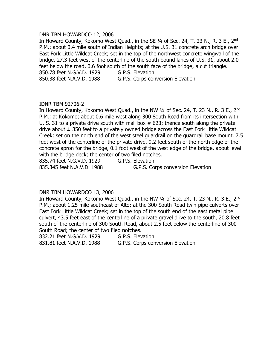#### DNR TBM HOWARDCO 12, 2006

In Howard County, Kokomo West Quad., in the SE 1/4 of Sec. 24, T. 23 N., R. 3 E., 2<sup>nd</sup> P.M.; about 0.4 mile south of Indian Heights; at the U.S. 31 concrete arch bridge over East Fork Little Wildcat Creek; set in the top of the northwest concrete wingwall of the bridge, 27.3 feet west of the centerline of the south bound lanes of U.S. 31, about 2.0 feet below the road, 0.6 foot south of the south face of the bridge; a cut triangle. 850.78 feet N.G.V.D. 1929 G.P.S. Elevation

850.38 feet N.A.V.D. 1988 G.P.S. Corps conversion Elevation

#### IDNR TBM 92706-2

In Howard County, Kokomo West Quad., in the NW 1/4 of Sec. 24, T. 23 N., R. 3 E., 2<sup>nd</sup> P.M.; at Kokomo; about 0.6 mile west along 300 South Road from its intersection with U. S. 31 to a private drive south with mail box  $#$  623; thence south along the private drive about  $\pm$  350 feet to a privately owned bridge across the East Fork Little Wildcat Creek; set on the north end of the west steel guardrail on the guardrail base mount. 7.5 feet west of the centerline of the private drive, 9.2 feet south of the north edge of the concrete apron for the bridge, 0.1 foot west of the west edge of the bridge, about level with the bridge deck; the center of two filed notches.

835.74 feet N.G.V.D. 1929 G.P.S. Elevation 835.345 feet N.A.V.D. 1988 G.P.S. Corps conversion Elevation

# DNR TBM HOWARDCO 13, 2006

In Howard County, Kokomo West Quad., in the NW 1/4 of Sec. 24, T. 23 N., R. 3 E., 2<sup>nd</sup> P.M.; about 1.25 mile southeast of Alto; at the 300 South Road twin pipe culverts over East Fork Little Wildcat Creek; set in the top of the south end of the east metal pipe culvert, 43.5 feet east of the centerline of a private gravel drive to the south, 20.8 feet south of the centerline of 300 South Road, about 2.5 feet below the centerline of 300 South Road; the center of two filed notches.

832.21 feet N.G.V.D. 1929 G.P.S. Elevation

831.81 feet N.A.V.D. 1988 G.P.S. Corps conversion Elevation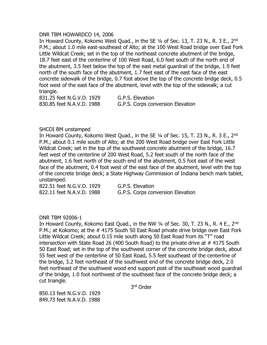#### DNR TBM HOWARDCO 14, 2006

In Howard County, Kokomo West Quad., in the SE 1/4 of Sec. 13, T. 23 N., R. 3 E., 2<sup>nd</sup> P.M.; about 1.0 mile east-southeast of Alto; at the 100 West Road bridge over East Fork Little Wildcat Creek; set in the top of the northeast concrete abutment of the bridge, 18.7 feet east of the centerline of 100 West Road, 6.0 feet south of the north end of the abutment, 3.5 feet below the top of the east metal guardrail of the bridge, 1.9 feet north of the south face of the abutment, 1.7 feet east of the east face of the east concrete sidewalk of the bridge, 0.7 foot above the top of the concrete bridge deck, 0.5 foot west of the east face of the abutment, level with the top of the sidewalk; a cut triangle.

831.25 feet N.G.V.D. 1929 G.P.S. Elevation

830.85 feet N.A.V.D. 1988 G.P.S. Corps conversion Elevation

#### SHCOI BM unstamped

In Howard County, Kokomo West Quad., in the SE 1/4 of Sec. 15, T. 23 N., R. 3 E., 2<sup>nd</sup> P.M.; about 0.1 mile south of Alto; at the 200 West Road bridge over East Fork Little Wildcat Creek; set in the top of the southwest concrete abutment of the bridge, 16.7 feet west of the centerline of 200 West Road, 5.2 feet south of the north face of the abutment, 1.6 feet north of the south end of the abutment, 0.5 foot east of the west face of the abutment, 0.4 foot west of the east face of the abutment, level with the top of the concrete bridge deck; a State Highway Commission of Indiana bench mark tablet, unstamped.

822.51 feet N.G.V.D. 1929 G.P.S. Elevation 822.11 feet N.A.V.D. 1988 G.P.S. Corps conversion Elevation

# DNR TBM 92006-1

In Howard County, Kokomo East Quad., in the NW 1/4 of Sec. 30, T. 23 N., R. 4 E., 2<sup>nd</sup> P.M.; at Kokomo; at the # 4175 South 50 East Road private drive bridge over East Fork Little Wildcat Creek; about 0.15 mile south along 50 East Road from its "T" road intersection with State Road 26 (400 South Road) to the private drive at # 4175 South 50 East Road; set in the top of the southwest corner of the concrete bridge deck, about 55 feet west of the centerline of 50 East Road, 5.5 feet southeast of the centerline of the bridge, 3.2 feet northeast of the southwest end of the concrete bridge deck, 2.0 feet northeast of the southwest wood end support post of the southeast wood guardrail of the bridge, 1.0 foot northwest of the southeast face of the concrete bridge deck; a cut triangle.

3 rd Order

850.13 feet N.G.V.D. 1929 849.73 feet N.A.V.D. 1988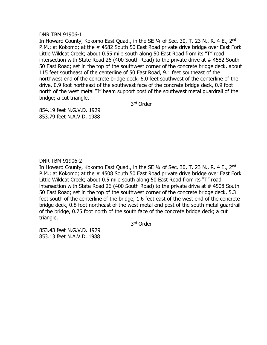DNR TBM 91906-1

In Howard County, Kokomo East Quad., in the SE 1/4 of Sec. 30, T. 23 N., R. 4 E., 2<sup>nd</sup> P.M.; at Kokomo; at the # 4582 South 50 East Road private drive bridge over East Fork Little Wildcat Creek; about 0.55 mile south along 50 East Road from its "T" road intersection with State Road 26 (400 South Road) to the private drive at # 4582 South 50 East Road; set in the top of the southwest corner of the concrete bridge deck, about 115 feet southeast of the centerline of 50 East Road, 9.1 feet southeast of the northwest end of the concrete bridge deck, 6.0 feet southwest of the centerline of the drive, 0.9 foot northeast of the southwest face of the concrete bridge deck, 0.9 foot north of the west metal "I" beam support post of the southwest metal guardrail of the bridge; a cut triangle.

3 rd Order

854.19 feet N.G.V.D. 1929 853.79 feet N.A.V.D. 1988

# DNR TBM 91906-2

In Howard County, Kokomo East Quad., in the SE 1/4 of Sec. 30, T. 23 N., R. 4 E., 2<sup>nd</sup> P.M.; at Kokomo; at the # 4508 South 50 East Road private drive bridge over East Fork Little Wildcat Creek; about 0.5 mile south along 50 East Road from its "T" road intersection with State Road 26 (400 South Road) to the private drive at # 4508 South 50 East Road; set in the top of the southwest corner of the concrete bridge deck, 5.3 feet south of the centerline of the bridge, 1.6 feet east of the west end of the concrete bridge deck, 0.8 foot northeast of the west metal end post of the south metal guardrail of the bridge, 0.75 foot north of the south face of the concrete bridge deck; a cut triangle.

3 rd Order

853.43 feet N.G.V.D. 1929 853.13 feet N.A.V.D. 1988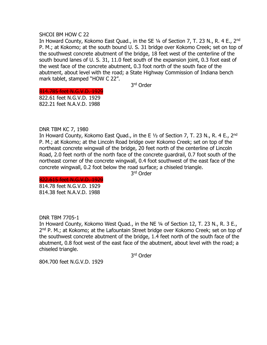#### SHCOI BM HOW C 22

In Howard County, Kokomo East Quad., in the SE 1/4 of Section 7, T. 23 N., R. 4 E., 2<sup>nd</sup> P. M.; at Kokomo; at the south bound U. S. 31 bridge over Kokomo Creek; set on top of the southwest concrete abutment of the bridge, 18 feet west of the centerline of the south bound lanes of U. S. 31, 11.0 feet south of the expansion joint, 0.3 foot east of the west face of the concrete abutment, 0.3 foot north of the south face of the abutment, about level with the road; a State Highway Commission of Indiana bench mark tablet, stamped "HOW C 22".

3 rd Order

# 814.785 feet N.G.V.D. 1929

822.61 feet N.G.V.D. 1929 822.21 feet N.A.V.D. 1988

# DNR TBM KC 7, 1980

In Howard County, Kokomo East Quad., in the E  $1/2$  of Section 7, T. 23 N., R. 4 E., 2<sup>nd</sup> P. M.; at Kokomo; at the Lincoln Road bridge over Kokomo Creek; set on top of the northeast concrete wingwall of the bridge, 20 feet north of the centerline of Lincoln Road, 2.0 feet north of the north face of the concrete guardrail, 0.7 foot south of the northeast corner of the concrete wingwall, 0.4 foot southwest of the east face of the concrete wingwall, 0.2 foot below the road surface; a chiseled triangle.

3 rd Order

822.615 feet N.G.V.D. 1929 814.78 feet N.G.V.D. 1929 814.38 feet N.A.V.D. 1988

DNR TBM 7705-1

In Howard County, Kokomo West Quad., in the NE ¼ of Section 12, T. 23 N., R. 3 E., 2<sup>nd</sup> P. M.; at Kokomo; at the Lafountain Street bridge over Kokomo Creek; set on top of the southwest concrete abutment of the bridge, 1.4 feet north of the south face of the abutment, 0.8 foot west of the east face of the abutment, about level with the road; a chiseled triangle.

3 rd Order

804.700 feet N.G.V.D. 1929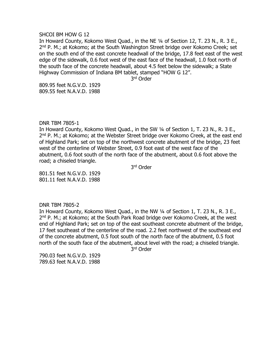#### SHCOI BM HOW G 12

In Howard County, Kokomo West Quad., in the NE ¼ of Section 12, T. 23 N., R. 3 E., 2<sup>nd</sup> P. M.; at Kokomo; at the South Washington Street bridge over Kokomo Creek; set on the south end of the east concrete headwall of the bridge, 17.8 feet east of the west edge of the sidewalk, 0.6 foot west of the east face of the headwall, 1.0 foot north of the south face of the concrete headwall, about 4.5 feet below the sidewalk; a State Highway Commission of Indiana BM tablet, stamped "HOW G 12".

3 rd Order

809.95 feet N.G.V.D. 1929 809.55 feet N.A.V.D. 1988

#### DNR TBM 7805-1

In Howard County, Kokomo West Quad., in the SW ¼ of Section 1, T. 23 N., R. 3 E., 2<sup>nd</sup> P. M.; at Kokomo; at the Webster Street bridge over Kokomo Creek, at the east end of Highland Park; set on top of the northwest concrete abutment of the bridge, 23 feet west of the centerline of Webster Street, 0.9 foot east of the west face of the abutment, 0.6 foot south of the north face of the abutment, about 0.6 foot above the road; a chiseled triangle.

3 rd Order

801.51 feet N.G.V.D. 1929 801.11 feet N.A.V.D. 1988

#### DNR TBM 7805-2

In Howard County, Kokomo West Quad., in the NW ¼ of Section 1, T. 23 N., R. 3 E., 2<sup>nd</sup> P. M.; at Kokomo; at the South Park Road bridge over Kokomo Creek, at the west end of Highland Park; set on top of the east southeast concrete abutment of the bridge, 17 feet southeast of the centerline of the road. 2.2 feet northwest of the southeast end of the concrete abutment, 0.5 foot south of the north face of the abutment, 0.5 foot north of the south face of the abutment, about level with the road; a chiseled triangle.

3 rd Order

790.03 feet N.G.V.D. 1929 789.63 feet N.A.V.D. 1988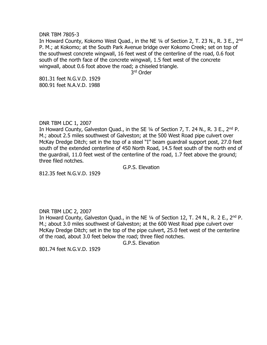DNR TBM 7805-3

In Howard County, Kokomo West Quad., in the NE 1/4 of Section 2, T. 23 N., R. 3 E., 2nd P. M.; at Kokomo; at the South Park Avenue bridge over Kokomo Creek; set on top of the southwest concrete wingwall, 16 feet west of the centerline of the road, 0.6 foot south of the north face of the concrete wingwall, 1.5 feet west of the concrete wingwall, about 0.6 foot above the road; a chiseled triangle.

3 rd Order

801.31 feet N.G.V.D. 1929 800.91 feet N.A.V.D. 1988

DNR TBM LDC 1, 2007

In Howard County, Galveston Quad., in the SE 1/4 of Section 7, T. 24 N., R. 3 E., 2<sup>nd</sup> P. M.; about 2.5 miles southwest of Galveston; at the 500 West Road pipe culvert over McKay Dredge Ditch; set in the top of a steel "I" beam guardrail support post, 27.0 feet south of the extended centerline of 450 North Road, 14.5 feet south of the north end of the guardrail, 11.0 feet west of the centerline of the road, 1.7 feet above the ground; three filed notches.

G.P.S. Elevation

812.35 feet N.G.V.D. 1929

# DNR TBM LDC 2, 2007

In Howard County, Galveston Quad., in the NE 1/4 of Section 12, T. 24 N., R. 2 E., 2<sup>nd</sup> P. M.; about 3.0 miles southwest of Galveston; at the 600 West Road pipe culvert over McKay Dredge Ditch; set in the top of the pipe culvert, 25.0 feet west of the centerline of the road, about 3.0 feet below the road; three filed notches.

G.P.S. Elevation

801.74 feet N.G.V.D. 1929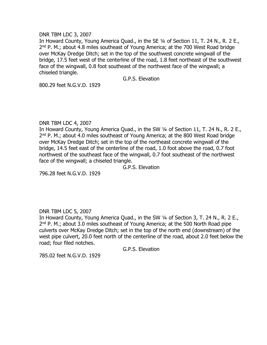#### DNR TBM LDC 3, 2007

In Howard County, Young America Quad., in the SE 1/4 of Section 11, T. 24 N., R. 2 E., 2<sup>nd</sup> P. M.; about 4.8 miles southeast of Young America; at the 700 West Road bridge over McKay Dredge Ditch; set in the top of the southwest concrete wingwall of the bridge, 17.5 feet west of the centerline of the road, 1.8 feet northeast of the southwest face of the wingwall, 0.8 foot southeast of the northwest face of the wingwall; a chiseled triangle.

G.P.S. Elevation

800.29 feet N.G.V.D. 1929

# DNR TBM LDC 4, 2007

In Howard County, Young America Quad., in the SW 1/4 of Section 11, T. 24 N., R. 2 E., 2<sup>nd</sup> P. M.; about 4.0 miles southeast of Young America; at the 800 West Road bridge over McKay Dredge Ditch; set in the top of the northeast concrete wingwall of the bridge, 14.5 feet east of the centerline of the road, 1.0 foot above the road, 0.7 foot northwest of the southeast face of the wingwall, 0.7 foot southeast of the northwest face of the wingwall; a chiseled triangle.

G.P.S. Elevation

796.28 feet N.G.V.D. 1929

# DNR TBM LDC 5, 2007

In Howard County, Young America Quad., in the SW ¼ of Section 3, T. 24 N., R. 2 E., 2<sup>nd</sup> P. M.; about 3.0 miles southeast of Young America; at the 500 North Road pipe culverts over McKay Dredge Ditch; set in the top of the north end (downstream) of the west pipe culvert, 20.0 feet north of the centerline of the road, about 2.0 feet below the road; four filed notches.

G.P.S. Elevation

785.02 feet N.G.V.D. 1929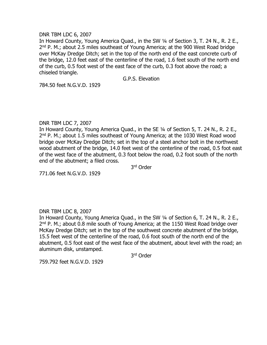#### DNR TBM LDC 6, 2007

In Howard County, Young America Quad., in the SW 1/4 of Section 3, T. 24 N., R. 2 E., 2<sup>nd</sup> P. M.; about 2.5 miles southeast of Young America; at the 900 West Road bridge over McKay Dredge Ditch; set in the top of the north end of the east concrete curb of the bridge, 12.0 feet east of the centerline of the road, 1.6 feet south of the north end of the curb, 0.5 foot west of the east face of the curb, 0.3 foot above the road; a chiseled triangle.

G.P.S. Elevation

784.50 feet N.G.V.D. 1929

# DNR TBM LDC 7, 2007

In Howard County, Young America Quad., in the SE ¼ of Section 5, T. 24 N., R. 2 E., 2<sup>nd</sup> P. M.; about 1.5 miles southeast of Young America; at the 1030 West Road wood bridge over McKay Dredge Ditch; set in the top of a steel anchor bolt in the northwest wood abutment of the bridge, 14.0 feet west of the centerline of the road, 0.5 foot east of the west face of the abutment, 0.3 foot below the road, 0.2 foot south of the north end of the abutment; a filed cross.

3 rd Order

771.06 feet N.G.V.D. 1929

# DNR TBM LDC 8, 2007

In Howard County, Young America Quad., in the SW ¼ of Section 6, T. 24 N., R. 2 E., 2<sup>nd</sup> P. M.; about 0.8 mile south of Young America; at the 1150 West Road bridge over McKay Dredge Ditch; set in the top of the southwest concrete abutment of the bridge, 15.5 feet west of the centerline of the road, 0.6 foot south of the north end of the abutment, 0.5 foot east of the west face of the abutment, about level with the road; an aluminum disk, unstamped.

3 rd Order

759.792 feet N.G.V.D. 1929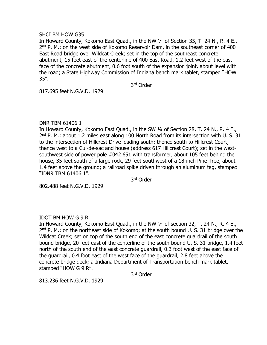#### SHCI BM HOW G35

In Howard County, Kokomo East Quad., in the NW ¼ of Section 35, T. 24 N., R. 4 E., 2<sup>nd</sup> P. M.; on the west side of Kokomo Reservoir Dam, in the southeast corner of 400 East Road bridge over Wildcat Creek; set in the top of the southeast concrete abutment, 15 feet east of the centerline of 400 East Road, 1.2 feet west of the east face of the concrete abutment, 0.6 foot south of the expansion joint, about level with the road; a State Highway Commission of Indiana bench mark tablet, stamped "HOW 35".

3 rd Order

817.695 feet N.G.V.D. 1929

# DNR TBM 61406 1

In Howard County, Kokomo East Quad., in the SW 1/4 of Section 28, T. 24 N., R. 4 E., 2<sup>nd</sup> P. M.; about 1.2 miles east along 100 North Road from its intersection with U. S. 31 to the intersection of Hillcrest Drive leading south; thence south to Hillcrest Court; thence west to a Cul-de-sac and house (address 617 Hillcrest Court); set in the westsouthwest side of power pole #042 651 with transformer, about 105 feet behind the house, 35 feet south of a large rock, 29 feet southwest of a 18-inch Pine Tree, about 1.4 feet above the ground; a railroad spike driven through an aluminum tag, stamped "IDNR TBM 61406 1".

3 rd Order

802.488 feet N.G.V.D. 1929

# IDOT BM HOW G 9 R

In Howard County, Kokomo East Quad., in the NW ¼ of section 32, T. 24 N., R. 4 E., 2<sup>nd</sup> P. M.; on the northeast side of Kokomo; at the south bound U. S. 31 bridge over the Wildcat Creek; set on top of the south end of the east concrete guardrail of the south bound bridge, 20 feet east of the centerline of the south bound U. S. 31 bridge, 1.4 feet north of the south end of the east concrete guardrail, 0.3 foot west of the east face of the guardrail, 0.4 foot east of the west face of the guardrail, 2.8 feet above the concrete bridge deck; a Indiana Department of Transportation bench mark tablet, stamped "HOW G 9 R".

3 rd Order

813.236 feet N.G.V.D. 1929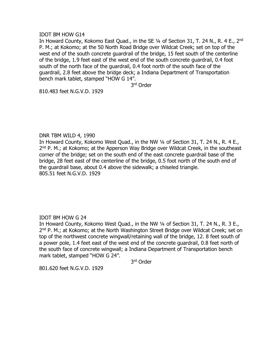IDOT BM HOW G14

In Howard County, Kokomo East Quad., in the SE 1/4 of Section 31, T. 24 N., R. 4 E., 2<sup>nd</sup> P. M.; at Kokomo; at the 50 North Road Bridge over Wildcat Creek; set on top of the west end of the south concrete guardrail of the bridge, 15 feet south of the centerline of the bridge, 1.9 feet east of the west end of the south concrete guardrail, 0.4 foot south of the north face of the guardrail, 0.4 foot north of the south face of the guardrail, 2.8 feet above the bridge deck; a Indiana Department of Transportation bench mark tablet, stamped "HOW G 14".

3 rd Order

810.483 feet N.G.V.D. 1929

# DNR TBM WILD 4, 1990

In Howard County, Kokomo West Quad., in the NW ¼ of Section 31, T. 24 N., R. 4 E., 2<sup>nd</sup> P. M.; at Kokomo; at the Apperson Way Bridge over Wildcat Creek, in the southeast corner of the bridge; set on the south end of the east concrete guardrail base of the bridge, 28 feet east of the centerline of the bridge, 0.5 foot north of the south end of the guardrail base, about 0.4 above the sidewalk; a chiseled triangle. 805.51 feet N.G.V.D. 1929

# IDOT BM HOW G 24

In Howard County, Kokomo West Quad., in the NW ¼ of Section 31, T. 24 N., R. 3 E., 2<sup>nd</sup> P. M.; at Kokomo; at the North Washington Street Bridge over Wildcat Creek; set on top of the northwest concrete wingwall/retaining wall of the bridge, 12. 8 feet south of a power pole, 1.4 feet east of the west end of the concrete guardrail, 0.8 feet north of the south face of concrete wingwall; a Indiana Department of Transportation bench mark tablet, stamped "HOW G 24".

3 rd Order

801.620 feet N.G.V.D. 1929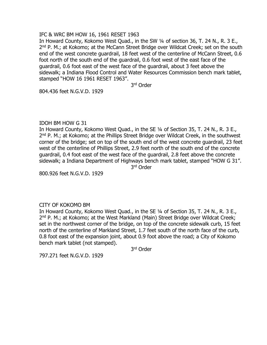# IFC & WRC BM HOW 16, 1961 RESET 1963

In Howard County, Kokomo West Quad., in the SW ¼ of section 36, T. 24 N., R. 3 E., 2<sup>nd</sup> P. M.; at Kokomo; at the McCann Street Bridge over Wildcat Creek; set on the south end of the west concrete guardrail, 18 feet west of the centerline of McCann Street, 0.6 foot north of the south end of the guardrail, 0.6 foot west of the east face of the guardrail, 0.6 foot east of the west face of the guardrail, about 3 feet above the sidewalk; a Indiana Flood Control and Water Resources Commission bench mark tablet, stamped "HOW 16 1961 RESET 1963".

3 rd Order

804.436 feet N.G.V.D. 1929

# IDOH BM HOW G 31

In Howard County, Kokomo West Quad., in the SE ¼ of Section 35, T. 24 N., R. 3 E., 2<sup>nd</sup> P. M.; at Kokomo; at the Phillips Street Bridge over Wildcat Creek, in the southwest corner of the bridge; set on top of the south end of the west concrete guardrail, 23 feet west of the centerline of Phillips Street, 2.9 feet north of the south end of the concrete guardrail, 0.4 foot east of the west face of the guardrail, 2.8 feet above the concrete sidewalk; a Indiana Department of Highways bench mark tablet, stamped "HOW G 31".

3 rd Order

800.926 feet N.G.V.D. 1929

# CITY OF KOKOMO BM

In Howard County, Kokomo West Quad., in the SE ¼ of Section 35, T. 24 N., R. 3 E., 2<sup>nd</sup> P. M.; at Kokomo; at the West Markland (Main) Street Bridge over Wildcat Creek; set in the northwest corner of the bridge, on top of the concrete sidewalk curb, 15 feet north of the centerline of Markland Street, 1.7 feet south of the north face of the curb, 0.8 foot east of the expansion joint, about 0.9 foot above the road; a City of Kokomo bench mark tablet (not stamped).

3 rd Order

797.271 feet N.G.V.D. 1929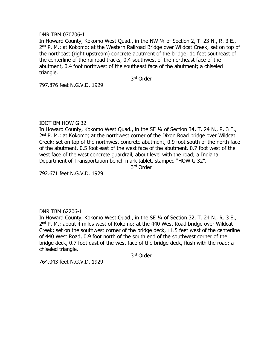#### DNR TBM 070706-1

In Howard County, Kokomo West Quad., in the NW 1/4 of Section 2, T. 23 N., R. 3 E., 2<sup>nd</sup> P. M.; at Kokomo; at the Western Railroad Bridge over Wildcat Creek; set on top of the northeast (right upstream) concrete abutment of the bridge; 11 feet southeast of the centerline of the railroad tracks, 0.4 southwest of the northeast face of the abutment, 0.4 foot northwest of the southeast face of the abutment; a chiseled triangle.

3 rd Order

797.876 feet N.G.V.D. 1929

# IDOT BM HOW G 32

In Howard County, Kokomo West Quad., in the SE 1/4 of Section 34, T. 24 N., R. 3 E., 2<sup>nd</sup> P. M.; at Kokomo; at the northwest corner of the Dixon Road bridge over Wildcat Creek; set on top of the northwest concrete abutment, 0.9 foot south of the north face of the abutment, 0.5 foot east of the west face of the abutment, 0.7 foot west of the west face of the west concrete guardrail, about level with the road; a Indiana Department of Transportation bench mark tablet, stamped "HOW G 32".

3 rd Order

792.671 feet N.G.V.D. 1929

# DNR TBM 62206-1

In Howard County, Kokomo West Quad., in the SE 1/4 of Section 32, T. 24 N., R. 3 E., 2<sup>nd</sup> P. M.; about 4 miles west of Kokomo; at the 440 West Road bridge over Wildcat Creek; set on the southwest corner of the bridge deck, 11.5 feet west of the centerline of 440 West Road, 0.9 foot north of the south end of the southwest corner of the bridge deck, 0.7 foot east of the west face of the bridge deck, flush with the road; a chiseled triangle.

3 rd Order

764.043 feet N.G.V.D. 1929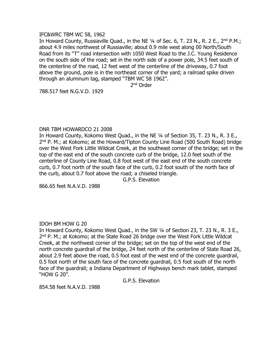#### IFC&WRC TBM WC 58, 1962

In Howard County, Russiaville Quad., in the NE 1/4 of Sec. 6, T. 23 N., R. 2 E., 2<sup>nd</sup> P.M.; about 4.9 miles northwest of Russiaville; about 0.9 mile west along 00 North/South Road from its "T" road intersection with 1050 West Road to the J.C. Young Residence on the south side of the road; set in the north side of a power pole, 34.5 feet south of the centerline of the road, 12 feet west of the centerline of the driveway, 0.7 foot above the ground, pole is in the northeast corner of the yard; a railroad spike driven through an aluminum tag, stamped "TBM WC 58 1962".

2<sup>nd</sup> Order

788.517 feet N.G.V.D. 1929

# DNR TBM HOWARDCO 21 2008

In Howard County, Kokomo West Quad., in the NE ¼ of Section 35, T. 23 N., R. 3 E., 2<sup>nd</sup> P. M.; at Kokomo; at the Howard/Tipton County Line Road (500 South Road) bridge over the West Fork Little Wildcat Creek, at the southeast corner of the bridge; set in the top of the east end of the south concrete curb of the bridge, 12.0 feet south of the centerline of County Line Road, 0.8 foot west of the east end of the south concrete curb, 0.7 foot north of the south face of the curb, 0.2 foot south of the north face of the curb, about 0.7 foot above the road; a chiseled triangle.

G.P.S. Elevation

866.65 feet N.A.V.D. 1988

# IDOH BM HOW G 20

In Howard County, Kokomo West Quad., in the SW ¼ of Section 23, T. 23 N., R. 3 E., 2<sup>nd</sup> P. M.; at Kokomo; at the State Road 26 bridge over the West Fork Little Wildcat Creek, at the northwest corner of the bridge; set on the top of the west end of the north concrete guardrail of the bridge, 24 feet north of the centerline of State Road 26, about 2.9 feet above the road, 0.5 foot east of the west end of the concrete guardrail, 0.5 foot north of the south face of the concrete guardrail, 0.5 foot south of the north face of the guardrail; a Indiana Department of Highways bench mark tablet, stamped "HOW G 20".

G.P.S. Elevation

854.58 feet N.A.V.D. 1988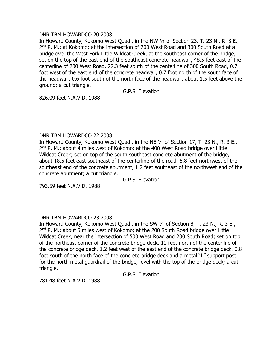# DNR TBM HOWARDCO 20 2008

In Howard County, Kokomo West Quad., in the NW ¼ of Section 23, T. 23 N., R. 3 E., 2<sup>nd</sup> P. M.; at Kokomo; at the intersection of 200 West Road and 300 South Road at a bridge over the West Fork Little Wildcat Creek, at the southeast corner of the bridge; set on the top of the east end of the southeast concrete headwall, 48.5 feet east of the centerline of 200 West Road, 22.3 feet south of the centerline of 300 South Road, 0.7 foot west of the east end of the concrete headwall, 0.7 foot north of the south face of the headwall, 0.6 foot south of the north face of the headwall, about 1.5 feet above the ground; a cut triangle.

G.P.S. Elevation

826.09 feet N.A.V.D. 1988

# DNR TBM HOWARDCO 22 2008

In Howard County, Kokomo West Quad., in the NE ¼ of Section 17, T. 23 N., R. 3 E., 2<sup>nd</sup> P. M.; about 4 miles west of Kokomo; at the 400 West Road bridge over Little Wildcat Creek; set on top of the south southeast concrete abutment of the bridge, about 18.5 feet east southeast of the centerline of the road, 6.8 feet northwest of the southeast end of the concrete abutment, 1.2 feet southeast of the northwest end of the concrete abutment; a cut triangle.

G.P.S. Elevation

793.59 feet N.A.V.D. 1988

# DNR TBM HOWARDCO 23 2008

In Howard County, Kokomo West Quad., in the SW ¼ of Section 8, T. 23 N., R. 3 E., 2<sup>nd</sup> P. M.; about 5 miles west of Kokomo; at the 200 South Road bridge over Little Wildcat Creek, near the intersection of 500 West Road and 200 South Road; set on top of the northeast corner of the concrete bridge deck, 11 feet north of the centerline of the concrete bridge deck, 1.2 feet west of the east end of the concrete bridge deck, 0.8 foot south of the north face of the concrete bridge deck and a metal "L" support post for the north metal guardrail of the bridge, level with the top of the bridge deck; a cut triangle.

G.P.S. Elevation

781.48 feet N.A.V.D. 1988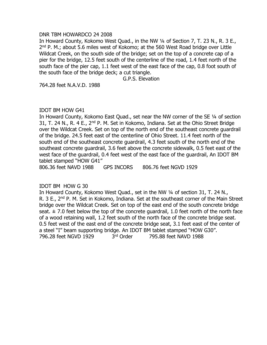# DNR TBM HOWARDCO 24 2008

In Howard County, Kokomo West Quad., in the NW 1/4 of Section 7, T. 23 N., R. 3 E., 2<sup>nd</sup> P. M.; about 5.6 miles west of Kokomo; at the 560 West Road bridge over Little Wildcat Creek, on the south side of the bridge; set on the top of a concrete cap of a pier for the bridge, 12.5 feet south of the centerline of the road, 1.4 feet north of the south face of the pier cap, 1.1 feet west of the east face of the cap, 0.8 foot south of the south face of the bridge deck; a cut triangle.

G.P.S. Elevation

764.28 feet N.A.V.D. 1988

#### IDOT BM HOW G41

In Howard County, Kokomo East Quad., set near the NW corner of the SE ¼ of section 31, T. 24 N., R. 4 E., 2<sup>nd</sup> P. M. Set in Kokomo, Indiana. Set at the Ohio Street Bridge over the Wildcat Creek. Set on top of the north end of the southeast concrete guardrail of the bridge. 24.5 feet east of the centerline of Ohio Street. 11.4 feet north of the south end of the southeast concrete guardrail, 4.3 feet south of the north end of the southeast concrete guardrail, 3.6 feet above the concrete sidewalk, 0.5 feet east of the west face of the guardrail, 0.4 feet west of the east face of the guardrail, An IDOT BM tablet stamped "HOW G41"

806.36 feet NAVD 1988 GPS INCORS 806.76 feet NGVD 1929

# IDOT BM HOW G 30

In Howard County, Kokomo West Quad., set in the NW ¼ of section 31, T. 24 N., R. 3 E., 2<sup>nd</sup> P. M. Set in Kokomo, Indiana. Set at the southeast corner of the Main Street bridge over the Wildcat Creek. Set on top of the east end of the south concrete bridge seat.  $\pm$  7.0 feet below the top of the concrete quardrail, 1.0 feet north of the north face of a wood retaining wall, 1.2 feet south of the north face of the concrete bridge seat. 0.5 feet west of the east end of the concrete bridge seat, 3.1 feet east of the center of a steel "I" beam supporting bridge. An IDOT BM tablet stamped "HOW G30". 796.28 feet NGVD 1929 3rd Order 795.88 feet NAVD 1988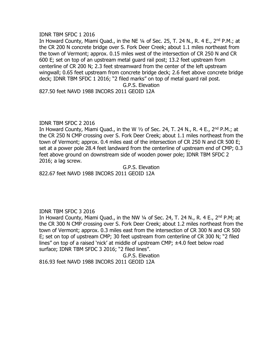#### IDNR TBM SFDC 1 2016

In Howard County, Miami Quad., in the NE  $\frac{1}{4}$  of Sec. 25, T. 24 N., R. 4 E., 2<sup>nd</sup> P.M.; at the CR 200 N concrete bridge over S. Fork Deer Creek; about 1.1 miles northeast from the town of Vermont; approx. 0.15 miles west of the intersection of CR 250 N and CR 600 E; set on top of an upstream metal guard rail post; 13.2 feet upstream from centerline of CR 200 N; 2.3 feet streamward from the center of the left upstream wingwall; 0.65 feet upstream from concrete bridge deck; 2.6 feet above concrete bridge deck; IDNR TBM SFDC 1 2016; "2 filed marks" on top of metal guard rail post.

G.P.S. Elevation

827.50 feet NAVD 1988 INCORS 2011 GEOID 12A

# IDNR TBM SFDC 2 2016

In Howard County, Miami Quad., in the W  $1/2$  of Sec. 24, T. 24 N., R. 4 E., 2<sup>nd</sup> P.M.; at the CR 250 N CMP crossing over S. Fork Deer Creek; about 1.1 miles northeast from the town of Vermont; approx. 0.4 miles east of the intersection of CR 250 N and CR 500 E; set at a power pole 28.4 feet landward from the centerline of upstream end of CMP; 0.3 feet above ground on downstream side of wooden power pole; IDNR TBM SFDC 2 2016; a lag screw.

G.P.S. Elevation 822.67 feet NAVD 1988 INCORS 2011 GEOID 12A

# IDNR TBM SFDC 3 2016

In Howard County, Miami Quad., in the NW 1/4 of Sec. 24, T. 24 N., R. 4 E., 2<sup>nd</sup> P.M; at the CR 300 N CMP crossing over S. Fork Deer Creek; about 1.2 miles northeast from the town of Vermont; approx. 0.3 miles east from the intersection of CR 300 N and CR 500 E; set on top of upstream CMP; 30 feet upstream from centerline of CR 300 N; "2 filed lines" on top of a raised 'nick' at middle of upstream CMP; ±4.0 feet below road surface; IDNR TBM SFDC 3 2016; "2 filed lines".

G.P.S. Elevation 816.93 feet NAVD 1988 INCORS 2011 GEOID 12A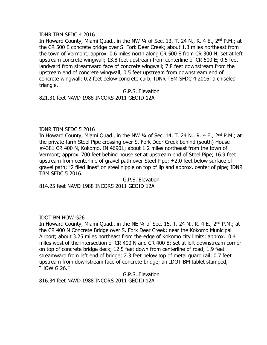#### IDNR TBM SFDC 4 2016

In Howard County, Miami Quad., in the NW  $\frac{1}{4}$  of Sec. 13, T. 24 N., R. 4 E., 2<sup>nd</sup> P.M.; at the CR 500 E concrete bridge over S. Fork Deer Creek; about 1.3 miles northeast from the town of Vermont; approx. 0.6 miles north along CR 500 E from CR 300 N; set at left upstream concrete wingwall; 13.8 feet upstream from centerline of CR 500 E; 0.5 feet landward from streamward face of concrete wingwall; 7.8 feet downstream from the upstream end of concrete wingwall; 0.5 feet upstream from downstream end of concrete wingwall; 0.2 feet below concrete curb; IDNR TBM SFDC 4 2016; a chiseled triangle.

G.P.S. Elevation

821.31 feet NAVD 1988 INCORS 2011 GEOID 12A

#### IDNR TBM SFDC 5 2016

In Howard County, Miami Quad., in the NW  $\frac{1}{4}$  of Sec. 14, T. 24 N., R. 4 E., 2<sup>nd</sup> P.M.; at the private farm Steel Pipe crossing over S. Fork Deer Creek behind (south) House #4381 CR 400 N, Kokomo, IN 46901; about 1.2 miles northeast from the town of Vermont; approx. 700 feet behind house set at upstream end of Steel Pipe; 16.9 feet upstream from centerline of gravel path over Steel Pipe; ±2.0 feet below surface of gravel path; "2 filed lines" on steel nipple on top of lip and approx. center of pipe; IDNR TBM SFDC 5 2016.

G.P.S. Elevation 814.25 feet NAVD 1988 INCORS 2011 GEOID 12A

# IDOT BM HOW G26

In Howard County, Miami Quad., in the NE  $\frac{1}{4}$  of Sec. 15, T. 24 N., R. 4 E., 2<sup>nd</sup> P.M.; at the CR 400 N Concrete Bridge over S. Fork Deer Creek; near the Kokomo Municipal Airport; about 3.25 miles northeast from the edge of Kokomo city limits; approx.. 0.4 miles west of the intersection of CR 400 N and CR 400 E; set at left downstream corner on top of concrete bridge deck; 12.5 feet down from centerline of road; 1.9 feet streamward from left end of bridge; 2.3 feet below top of metal guard rail; 0.7 feet upstream from downstream face of concrete bridge; an IDOT BM tablet stamped, "HOW G 26."

G.P.S. Elevation 816.34 feet NAVD 1988 INCORS 2011 GEOID 12A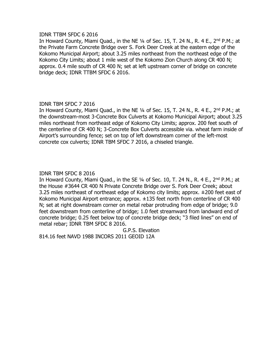#### IDNR TTBM SFDC 6 2016

In Howard County, Miami Quad., in the NE  $\frac{1}{4}$  of Sec. 15, T. 24 N., R. 4 E., 2<sup>nd</sup> P.M.; at the Private Farm Concrete Bridge over S. Fork Deer Creek at the eastern edge of the Kokomo Municipal Airport; about 3.25 miles northeast from the northeast edge of the Kokomo City Limits; about 1 mile west of the Kokomo Zion Church along CR 400 N; approx. 0.4 mile south of CR 400 N; set at left upstream corner of bridge on concrete bridge deck; IDNR TTBM SFDC 6 2016.

# IDNR TBM SFDC 7 2016

In Howard County, Miami Quad., in the NE 1/4 of Sec. 15, T. 24 N., R. 4 E., 2<sup>nd</sup> P.M.; at the downstream-most 3-Concrete Box Culverts at Kokomo Municipal Airport; about 3.25 miles northeast from northeast edge of Kokomo City Limits; approx. 200 feet south of the centerline of CR 400 N; 3-Concrete Box Culverts accessible via. wheat farm inside of Airport's surrounding fence; set on top of left downstream corner of the left-most concrete cox culverts; IDNR TBM SFDC 7 2016, a chiseled triangle.

# IDNR TBM SFDC 8 2016

In Howard County, Miami Quad., in the SE  $\frac{1}{4}$  of Sec. 10, T. 24 N., R. 4 E., 2<sup>nd</sup> P.M.; at the House #3644 CR 400 N Private Concrete Bridge over S. Fork Deer Creek; about 3.25 miles northeast of northeast edge of Kokomo city limits; approx. ±200 feet east of Kokomo Municipal Airport entrance; approx. ±135 feet north from centerline of CR 400 N; set at right downstream corner on metal rebar protruding from edge of bridge; 9.0 feet downstream from centerline of bridge; 1.0 feet streamward from landward end of concrete bridge; 0.25 feet below top of concrete bridge deck; "3 filed lines" on end of metal rebar; IDNR TBM SFDC 8 2016.

G.P.S. Elevation 814.16 feet NAVD 1988 INCORS 2011 GEOID 12A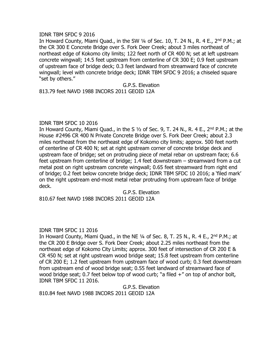#### IDNR TBM SFDC 9 2016

In Howard County, Miami Quad., in the SW  $\frac{1}{4}$  of Sec. 10, T. 24 N., R. 4 E., 2<sup>nd</sup> P.M.; at the CR 300 E Concrete Bridge over S. Fork Deer Creek; about 3 miles northeast of northeast edge of Kokomo city limits; 122 feet north of CR 400 N; set at left upstream concrete wingwall; 14.5 feet upstream from centerline of CR 300 E; 0.9 feet upstream of upstream face of bridge deck; 0.3 feet landward from streamward face of concrete wingwall; level with concrete bridge deck; IDNR TBM SFDC 9 2016; a chiseled square "set by others."

# G.P.S. Elevation

813.79 feet NAVD 1988 INCORS 2011 GEOID 12A

#### IDNR TBM SFDC 10 2016

In Howard County, Miami Quad., in the S  $1/2$  of Sec. 9, T. 24 N., R. 4 E., 2<sup>nd</sup> P.M.; at the House #2496 CR 400 N Private Concrete Bridge over S. Fork Deer Creek; about 2.3 miles northeast from the northeast edge of Kokomo city limits; approx. 500 feet north of centerline of CR 400 N; set at right upstream corner of concrete bridge deck and upstream face of bridge; set on protruding piece of metal rebar on upstream face; 6.6 feet upstream from centerline of bridge; 1.4 feet downstream – streamward from a cut metal post on right upstream concrete wingwall; 0.65 feet streamward from right end of bridge; 0.2 feet below concrete bridge deck; IDNR TBM SFDC 10 2016; a 'filed mark' on the right upstream end-most metal rebar protruding from upstream face of bridge deck.

G.P.S. Elevation 810.67 feet NAVD 1988 INCORS 2011 GEOID 12A

# IDNR TBM SFDC 11 2016

In Howard County, Miami Quad., in the NE  $\frac{1}{4}$  of Sec. 8, T. 25 N., R. 4 E., 2<sup>nd</sup> P.M.; at the CR 200 E Bridge over S. Fork Deer Creek; about 2.25 miles northeast from the northeast edge of Kokomo City Limits; approx. 300 feet of intersection of CR 200 E & CR 450 N; set at right upstream wood bridge seat; 15.8 feet upstream from centerline of CR 200 E; 1.2 feet upstream from upstream face of wood curb; 0.3 feet downstream from upstream end of wood bridge seat; 0.55 feet landward of streamward face of wood bridge seat; 0.7 feet below top of wood curb; "a filed  $+$ " on top of anchor bolt, IDNR TBM SFDC 11 2016.

G.P.S. Elevation 810.84 feet NAVD 1988 INCORS 2011 GEOID 12A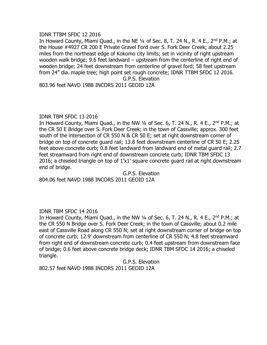#### IDNR TTBM SFDC 12 2016

In Howard County, Miami Quad., in the NE  $1/4$  of Sec. 8, T. 24 N., R. 4 E., 2<sup>nd</sup> P.M.; at the House #4927 CR 200 E Private Gravel Ford over S. Fork Deer Creek; about 2.25 miles from the northeast edge of Kokomo city limits; set in vicinity of right upstream wooden walk bridge; 9.6 feet landward – upstream from the centerline of right end of wooden bridge; 24 feet downstream from centerline of gravel ford; 58 feet upstream from 24" dia. maple tree; high point set rough concrete; IDNR TTBM SFDC 12 2016. G.P.S. Elevation

803.96 feet NAVD 1988 INCORS 2011 GEOID 12A

#### IDNR TBM SFDC 13 2016

In Howard County, Miami Quad., in the NW  $\frac{1}{4}$  of Sec. 6, T. 24 N., R. 4 E., 2<sup>nd</sup> P.M.; at the CR 50 E Bridge over S. Fork Deer Creek; in the town of Cassville; approx. 300 feet south of the intersection of CR 550 N & CR 50 E; set at right downstream corner of bridge on top of concrete guard rail; 13.8 feet downstream centerline of CR 50 E; 2.25 feet above concrete curb; 0.8 feet landward from landward end of metal guard rail; 2.7 feet streamward from right end of downstream concrete curb; IDNR TBM SFDC 13 2016; a chiseled triangle on top of 1'x1' square concrete guard rail at right downstream end of bridge.

G.P.S. Elevation 804.06 feet NAVD 1988 INCORS 2011 GEOID 12A

# IDNR TBM SFDC 14 2016

In Howard County, Miami Quad., in the NW  $\frac{1}{4}$  of Sec. 6, T. 24 N., R. 4 E., 2<sup>nd</sup> P.M.; at the CR 550 N Bridge over S. Fork Deer Creek; in the town of Cassville; about 0.2 mile east of Cassville Road along CR 550 N; set at right downstream corner of bridge on top of concrete curb; 12.9' downstream from centerline of CR 550 N; 4.8 feet streamward from right end of downstream concrete curb; 0.4 feet upstream from downstream face of bridge; 0.6 feet above concrete bridge deck; IDNR TBM SFDC 14 2016; a chiseled triangle.

G.P.S. Elevation

802.57 feet NAVD 1988 INCORS 2011 GEOID 12A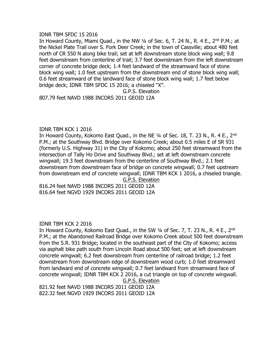#### IDNR TBM SFDC 15 2016

In Howard County, Miami Quad., in the NW 1/4 of Sec. 6, T. 24 N., R. 4 E., 2<sup>nd</sup> P.M.; at the Nickel Plate Trail over S. Fork Deer Creek; in the town of Cassville; about 480 feet north of CR 550 N along bike trail; set at left downstream stone block wing wall; 9.8 feet downstream from centerline of trail; 3.7 feet downstream from the left downstream corner of concrete bridge deck; 1.4 feet landward of the streamward face of stone block wing wall; 1.0 feet upstream from the downstream end of stone block wing wall; 0.6 feet streamward of the landward face of stone block wing wall; 1.7 feet below bridge deck; IDNR TBM SFDC 15 2016; a chiseled "X".

G.P.S. Elevation

807.79 feet NAVD 1988 INCORS 2011 GEOID 12A

#### IDNR TBM KCK 1 2016

In Howard County, Kokomo East Quad., in the NE 1/4 of Sec. 18, T. 23 N., R. 4 E., 2<sup>nd</sup> P.M.; at the Southway Blvd. Bridge over Kokomo Creek; about 0.5 miles E of SR 931 (formerly U.S. Highway 31) in the City of Kokomo; about 250 feet streamward from the intersection of Tally Ho Drive and Southway Blvd.; set at left downstream concrete wingwall; 19.3 feet downstream from the centerline of Southway Blvd.; 2.1 feet downstream from downstream face of bridge on concrete wingwall; 0.7 feet upstream from downstream end of concrete wingwall; IDNR TBM KCK 1 2016, a chiseled triangle. G.P.S. Elevation

816.24 feet NAVD 1988 INCORS 2011 GEOID 12A 816.64 feet NGVD 1929 INCORS 2011 GEOID 12A

# IDNR TBM KCK 2 2016

In Howard County, Kokomo East Quad., in the SW 1/4 of Sec. 7, T. 23 N., R. 4 E., 2<sup>nd</sup> P.M.; at the Abandoned Railroad Bridge over Kokomo Creek about 500 feet downstream from the S.R. 931 Bridge; located in the southeast part of the City of Kokomo; access via asphalt bike path south from Lincoln Road about 500 feet; set at left downstream concrete wingwall; 6.2 feet downstream from centerline of railroad bridge; 1.2 feet downstream from downstream edge of downstream wood curb; 1.0 feet streamward from landward end of concrete wingwall; 0.7 feet landward from streamward face of concrete wingwall; IDNR TBM KCK 2 2016, a cut triangle on top of concrete wingwall. G.P.S. Elevation

821.92 feet NAVD 1988 INCORS 2011 GEOID 12A 822.32 feet NGVD 1929 INCORS 2011 GEOID 12A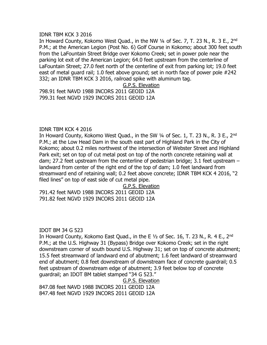#### IDNR TBM KCK 3 2016

In Howard County, Kokomo West Quad., in the NW 1/4 of Sec. 7, T. 23 N., R. 3 E., 2<sup>nd</sup> P.M.; at the American Legion (Post No. 6) Golf Course in Kokomo; about 300 feet south from the LaFountain Street Bridge over Kokomo Creek; set in power pole near the parking lot exit of the American Legion; 64.0 feet upstream from the centerline of LaFountain Street; 27.0 feet north of the centerline of exit from parking lot; 19.0 feet east of metal guard rail; 1.0 feet above ground; set in north face of power pole #242 332; an IDNR TBM KCK 3 2016, railroad spike with aluminum tag.

#### G.P.S. Elevation

798.91 feet NAVD 1988 INCORS 2011 GEOID 12A 799.31 feet NGVD 1929 INCORS 2011 GEOID 12A

#### IDNR TBM KCK 4 2016

In Howard County, Kokomo West Quad., in the SW  $\frac{1}{4}$  of Sec. 1, T. 23 N., R. 3 E., 2<sup>nd</sup> P.M.; at the Low Head Dam in the south east part of Highland Park in the City of Kokomo; about 0.2 miles northwest of the intersection of Webster Street and Highland Park exit; set on top of cut metal post on top of the north concrete retaining wall at dam; 27.2 feet upstream from the centerline of pedestrian bridge; 3.1 feet upstream – landward from center of the right end of the top of dam; 1.0 feet landward from streamward end of retaining wall; 0.2 feet above concrete; IDNR TBM KCK 4 2016, "2 filed lines" on top of east side of cut metal pipe.

G.P.S. Elevation

791.42 feet NAVD 1988 INCORS 2011 GEOID 12A 791.82 feet NGVD 1929 INCORS 2011 GEOID 12A

# IDOT BM 34 G 523

In Howard County, Kokomo East Quad., in the E  $1/2$  of Sec. 16, T. 23 N., R. 4 E., 2<sup>nd</sup> P.M.; at the U.S. Highway 31 (Bypass) Bridge over Kokomo Creek; set in the right downstream corner of south bound U.S. Highway 31; set on top of concrete abutment; 15.5 feet streamward of landward end of abutment; 1.6 feet landward of streamward end of abutment; 0.8 feet downstream of downstream face of concrete guardrail; 0.5 feet upstream of downstream edge of abutment; 3.9 feet below top of concrete guardrail; an IDOT BM tablet stamped "34 G 523."

G.P.S. Elevation

847.08 feet NAVD 1988 INCORS 2011 GEOID 12A 847.48 feet NGVD 1929 INCORS 2011 GEOID 12A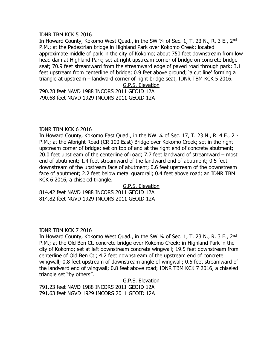#### IDNR TBM KCK 5 2016

In Howard County, Kokomo West Quad., in the SW 1/4 of Sec. 1, T. 23 N., R. 3 E., 2<sup>nd</sup> P.M.; at the Pedestrian bridge in Highland Park over Kokomo Creek; located approximate middle of park in the city of Kokomo; about 750 feet downstream from low head dam at Highland Park; set at right upstream corner of bridge on concrete bridge seat; 70.9 feet streamward from the streamward edge of paved road through park; 3.1 feet upstream from centerline of bridge; 0.9 feet above ground; 'a cut line' forming a triangle at upstream – landward corner of right bridge seat, IDNR TBM KCK 5 2016.

G.P.S. Elevation

790.28 feet NAVD 1988 INCORS 2011 GEOID 12A 790.68 feet NGVD 1929 INCORS 2011 GEOID 12A

#### IDNR TBM KCK 6 2016

In Howard County, Kokomo East Quad., in the NW 1/4 of Sec. 17, T. 23 N., R. 4 E., 2<sup>nd</sup> P.M.; at the Albright Road (CR 100 East) Bridge over Kokomo Creek; set in the right upstream corner of bridge; set on top of and at the right end of concrete abutment; 20.0 feet upstream of the centerline of road; 7.7 feet landward of streamward – most end of abutment; 1.4 feet streamward of the landward end of abutment; 0.5 feet downstream of the upstream face of abutment; 0.6 feet upstream of the downstream face of abutment; 2.2 feet below metal guardrail; 0.4 feet above road; an IDNR TBM KCK 6 2016, a chiseled triangle.

G.P.S. Elevation

814.42 feet NAVD 1988 INCORS 2011 GEOID 12A 814.82 feet NGVD 1929 INCORS 2011 GEOID 12A

# IDNR TBM KCK 7 2016

In Howard County, Kokomo West Quad., in the SW 1/4 of Sec. 1, T. 23 N., R. 3 E., 2<sup>nd</sup> P.M.; at the Old Ben Ct. concrete bridge over Kokomo Creek; in Highland Park in the city of Kokomo; set at left downstream concrete wingwall; 19.5 feet downstream from centerline of Old Ben Ct.; 4.2 feet downstream of the upstream end of concrete wingwall; 0.8 feet upstream of downstream angle of wingwall; 0.5 feet streamward of the landward end of wingwall; 0.8 feet above road; IDNR TBM KCK 7 2016, a chiseled triangle set "by others".

G.P.S. Elevation

791.23 feet NAVD 1988 INCORS 2011 GEOID 12A 791.63 feet NGVD 1929 INCORS 2011 GEOID 12A